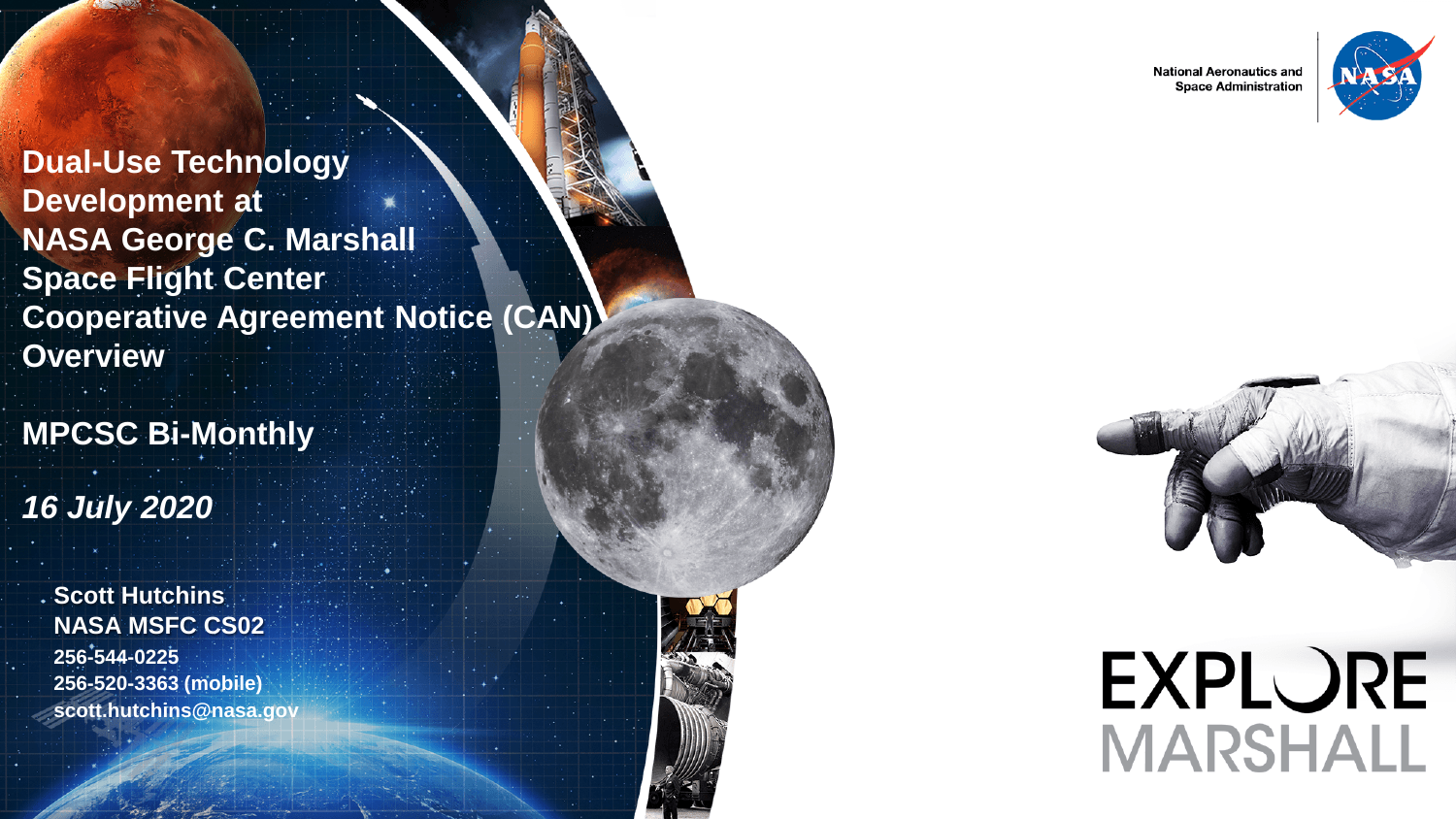**National Aeronautics and Space Administration** 

**EXPLORE** 

**MARSHALL** 



**Dual-Use Technology Development at NASA George C. Marshall Space Flight Center Cooperative Agreement Notice (CAN) Overview**

**MPCSC Bi-Monthly**

*16 July 2020*

**Scott Hutchins NASA MSFC CS02 256-544-0225 256-520-3363 (mobile) scott.hutchins@nasa.gov**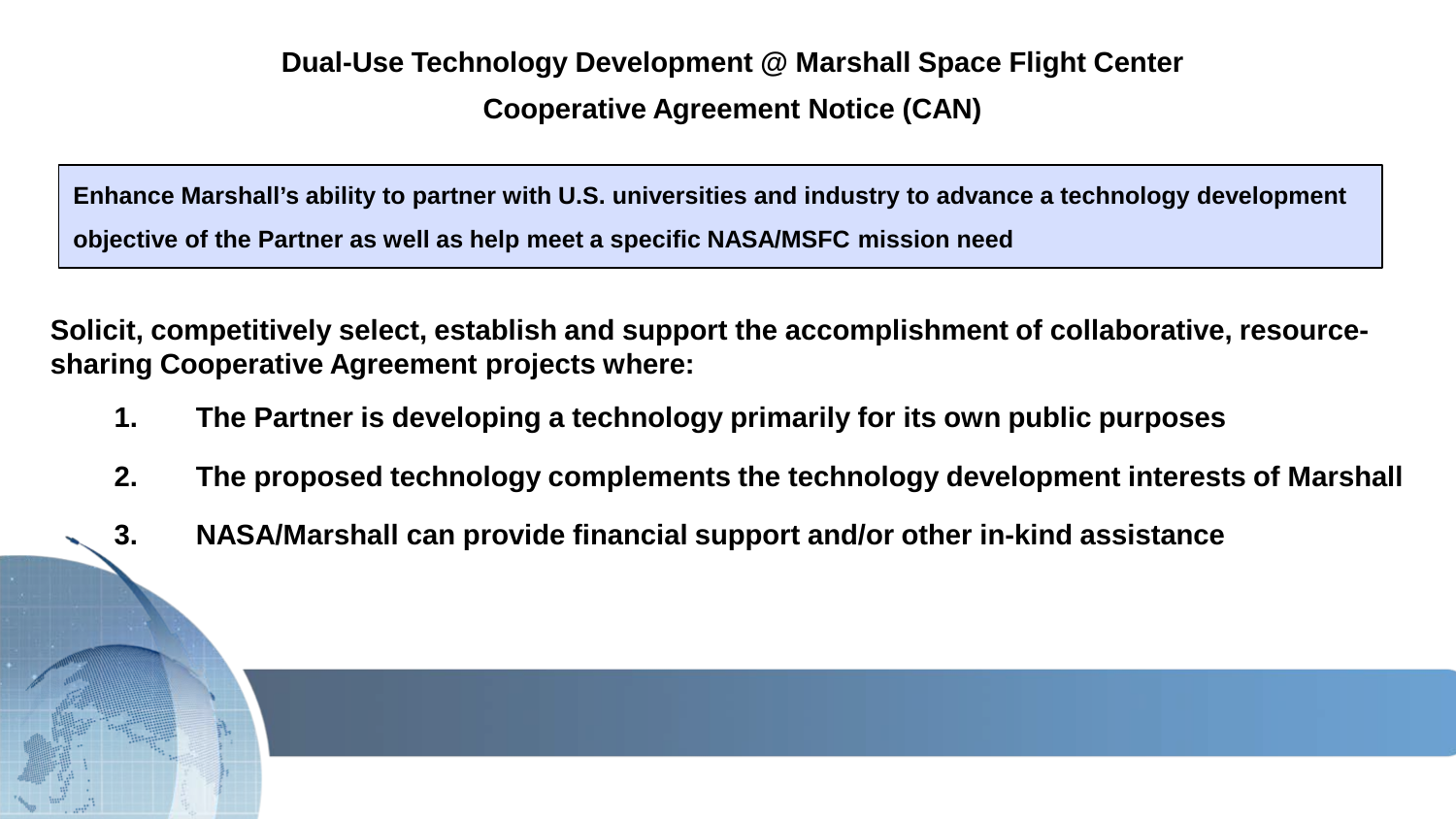**Dual-Use Technology Development @ Marshall Space Flight Center Cooperative Agreement Notice (CAN)**

**Enhance Marshall's ability to partner with U.S. universities and industry to advance a technology development objective of the Partner as well as help meet a specific NASA/MSFC mission need**

**Solicit, competitively select, establish and support the accomplishment of collaborative, resourcesharing Cooperative Agreement projects where:**

- **1. The Partner is developing a technology primarily for its own public purposes**
- **2. The proposed technology complements the technology development interests of Marshall**
- **3. NASA/Marshall can provide financial support and/or other in-kind assistance**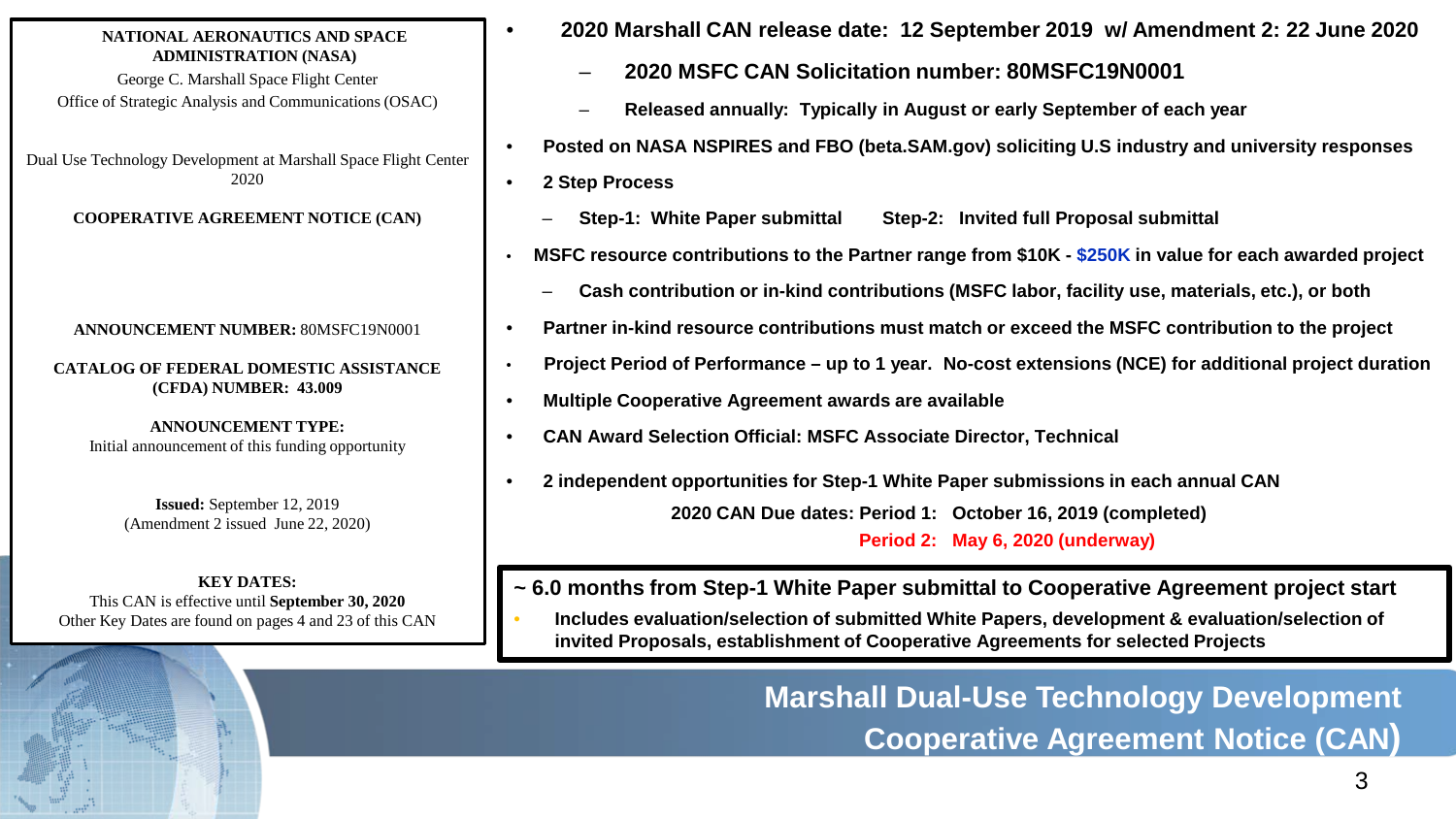#### **NATIONAL AERONAUTICS AND SPACE ADMINISTRATION (NASA)**

George C. Marshall Space Flight Center Office of Strategic Analysis and Communications (OSAC)

Dual Use Technology Development at Marshall Space Flight Center 2020

**COOPERATIVE AGREEMENT NOTICE (CAN)**

#### **ANNOUNCEMENT NUMBER:** 80MSFC19N0001

**CATALOG OF FEDERAL DOMESTIC ASSISTANCE (CFDA) NUMBER: 43.009**

**ANNOUNCEMENT TYPE:**  Initial announcement of this funding opportunity

> **Issued:** September 12, 2019 (Amendment 2 issued June 22, 2020)

**KEY DATES:**  This CAN is effective until **September 30, 2020** Other Key Dates are found on pages 4 and 23 of this CAN

- **2020 Marshall CAN release date: 12 September 2019 w/ Amendment 2: 22 June 2020**
	- **2020 MSFC CAN Solicitation number: 80MSFC19N0001**
	- **Released annually: Typically in August or early September of each year**
- **Posted on NASA NSPIRES and FBO (beta.SAM.gov) soliciting U.S industry and university responses**
- **2 Step Process**
	- **Step-1: White Paper submittal Step-2: Invited full Proposal submittal**
- **MSFC resource contributions to the Partner range from \$10K - \$250K in value for each awarded project**
	- **Cash contribution or in-kind contributions (MSFC labor, facility use, materials, etc.), or both**
- **Partner in-kind resource contributions must match or exceed the MSFC contribution to the project**
- **Project Period of Performance – up to 1 year. No-cost extensions (NCE) for additional project duration**
- **Multiple Cooperative Agreement awards are available**
- **CAN Award Selection Official: MSFC Associate Director, Technical**
- **2 independent opportunities for Step-1 White Paper submissions in each annual CAN 2020 CAN Due dates: Period 1: October 16, 2019 (completed) Period 2: May 6, 2020 (underway)**

**~ 6.0 months from Step-1 White Paper submittal to Cooperative Agreement project start**

• **Includes evaluation/selection of submitted White Papers, development & evaluation/selection of invited Proposals, establishment of Cooperative Agreements for selected Projects**

> **Marshall Dual-Use Technology Development Cooperative Agreement Notice (CAN)**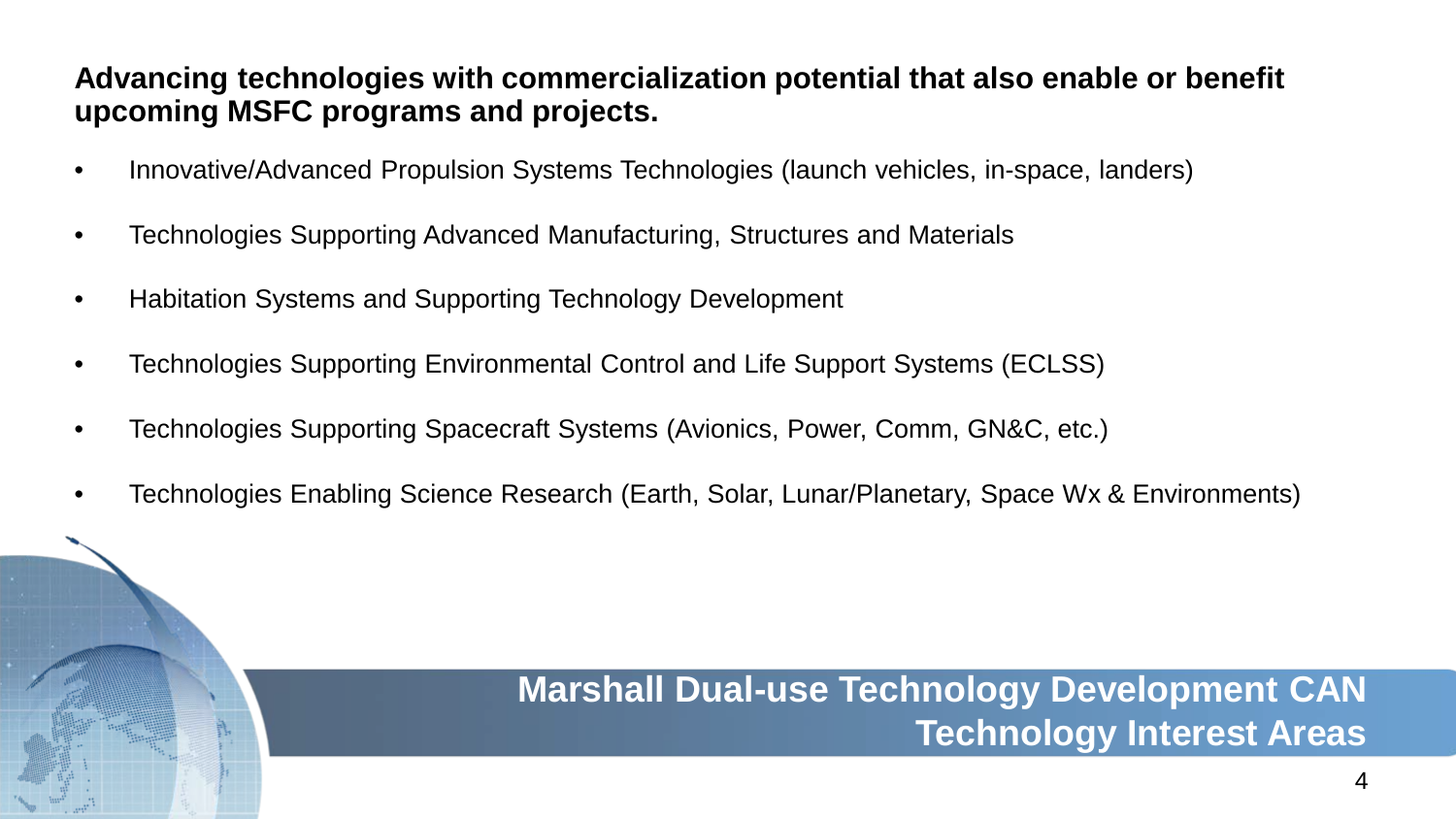### **Advancing technologies with commercialization potential that also enable or benefit upcoming MSFC programs and projects.**

- Innovative/Advanced Propulsion Systems Technologies (launch vehicles, in-space, landers)
- Technologies Supporting Advanced Manufacturing, Structures and Materials
- Habitation Systems and Supporting Technology Development
- Technologies Supporting Environmental Control and Life Support Systems (ECLSS)
- Technologies Supporting Spacecraft Systems (Avionics, Power, Comm, GN&C, etc.)
- Technologies Enabling Science Research (Earth, Solar, Lunar/Planetary, Space Wx & Environments)

## **Marshall Dual-use Technology Development CAN Technology Interest Areas**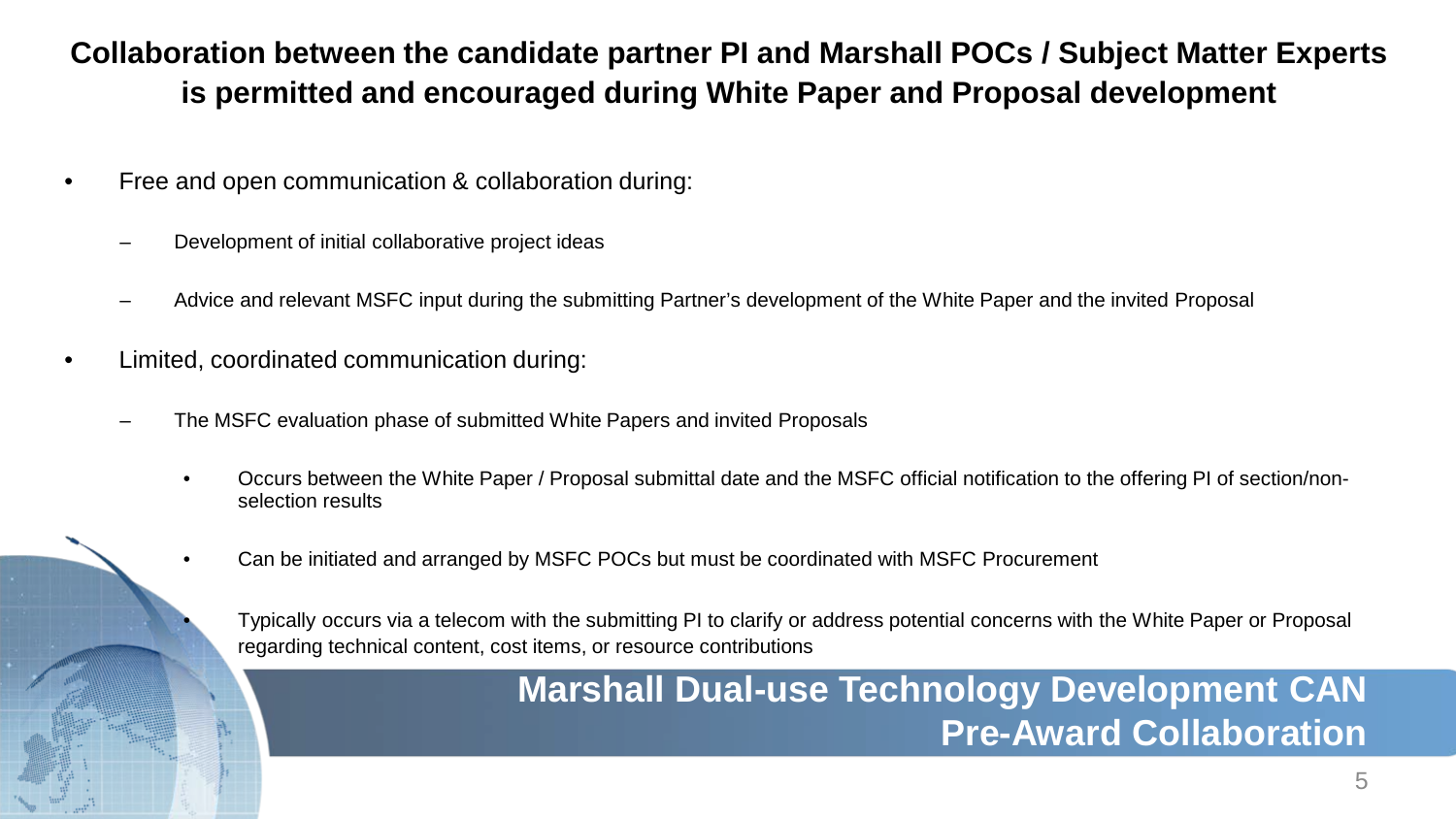### **Collaboration between the candidate partner PI and Marshall POCs / Subject Matter Experts is permitted and encouraged during White Paper and Proposal development**

- Free and open communication & collaboration during:
	- Development of initial collaborative project ideas
	- Advice and relevant MSFC input during the submitting Partner's development of the White Paper and the invited Proposal
- Limited, coordinated communication during:
	- The MSFC evaluation phase of submitted White Papers and invited Proposals
		- Occurs between the White Paper / Proposal submittal date and the MSFC official notification to the offering PI of section/nonselection results
		- Can be initiated and arranged by MSFC POCs but must be coordinated with MSFC Procurement

• Typically occurs via a telecom with the submitting PI to clarify or address potential concerns with the White Paper or Proposal regarding technical content, cost items, or resource contributions

## **Marshall Dual-use Technology Development CAN Pre-Award Collaboration**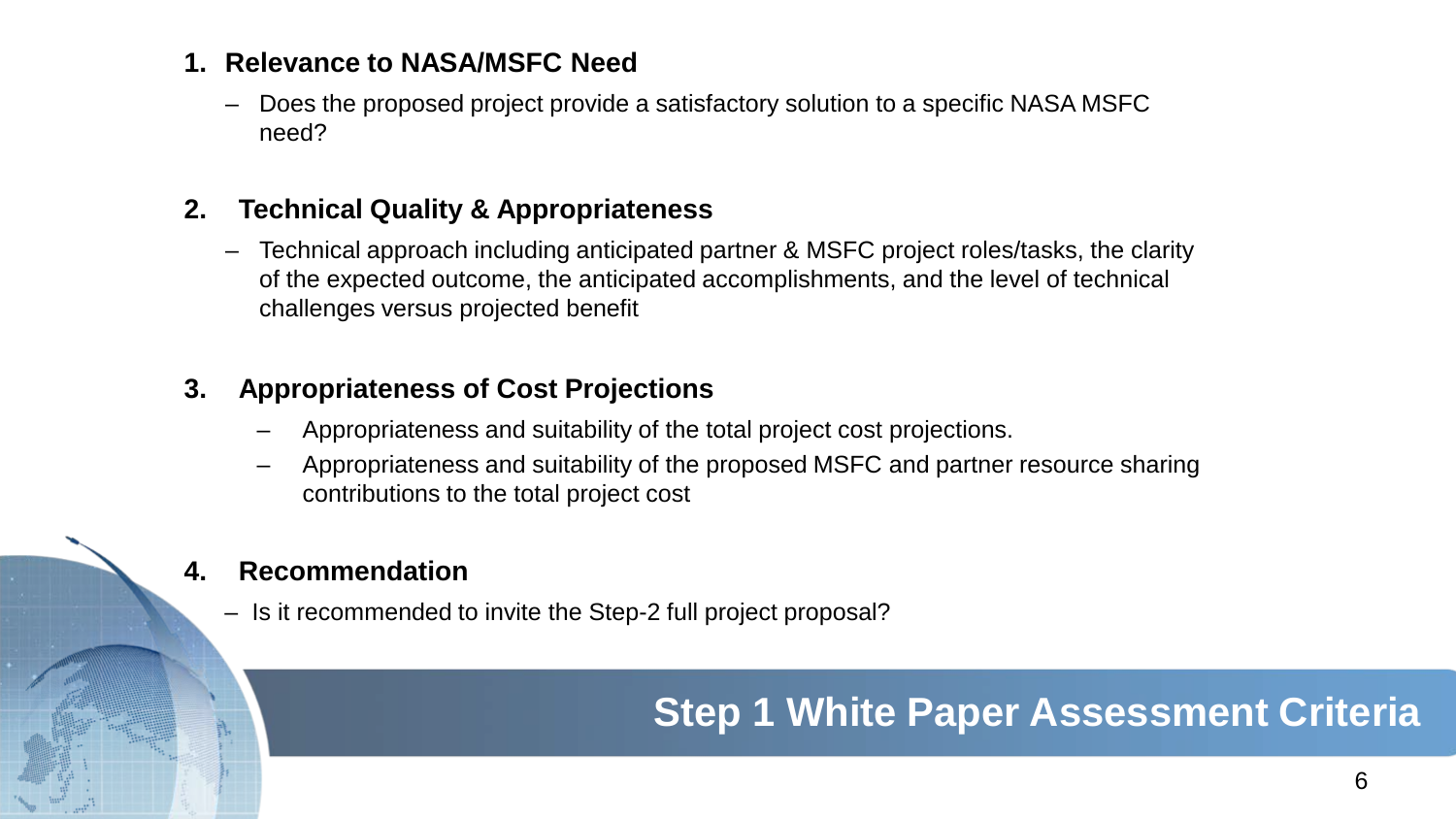### **1. Relevance to NASA/MSFC Need**

– Does the proposed project provide a satisfactory solution to a specific NASA MSFC need?

### **2. Technical Quality & Appropriateness**

– Technical approach including anticipated partner & MSFC project roles/tasks, the clarity of the expected outcome, the anticipated accomplishments, and the level of technical challenges versus projected benefit

### **3. Appropriateness of Cost Projections**

- Appropriateness and suitability of the total project cost projections.
- Appropriateness and suitability of the proposed MSFC and partner resource sharing contributions to the total project cost

### **4. Recommendation**

– Is it recommended to invite the Step-2 full project proposal?

# **Step 1 White Paper Assessment Criteria**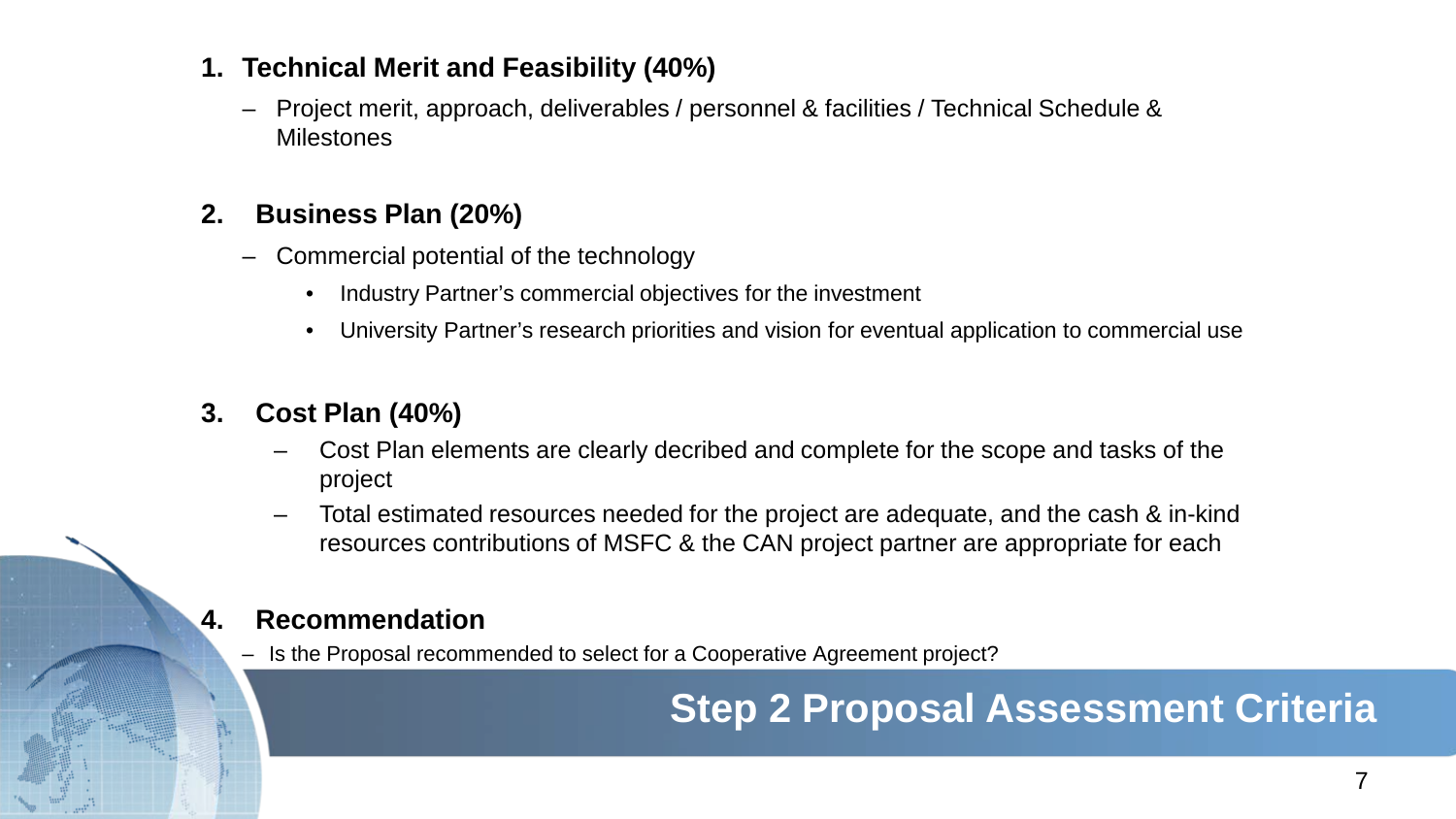### **1. Technical Merit and Feasibility (40%)**

– Project merit, approach, deliverables / personnel & facilities / Technical Schedule & **Milestones** 

### **2. Business Plan (20%)**

- Commercial potential of the technology
	- Industry Partner's commercial objectives for the investment
	- University Partner's research priorities and vision for eventual application to commercial use

### **3. Cost Plan (40%)**

- Cost Plan elements are clearly decribed and complete for the scope and tasks of the project
- Total estimated resources needed for the project are adequate, and the cash & in-kind resources contributions of MSFC & the CAN project partner are appropriate for each

### **4. Recommendation**

– Is the Proposal recommended to select for a Cooperative Agreement project?

# **Step 2 Proposal Assessment Criteria**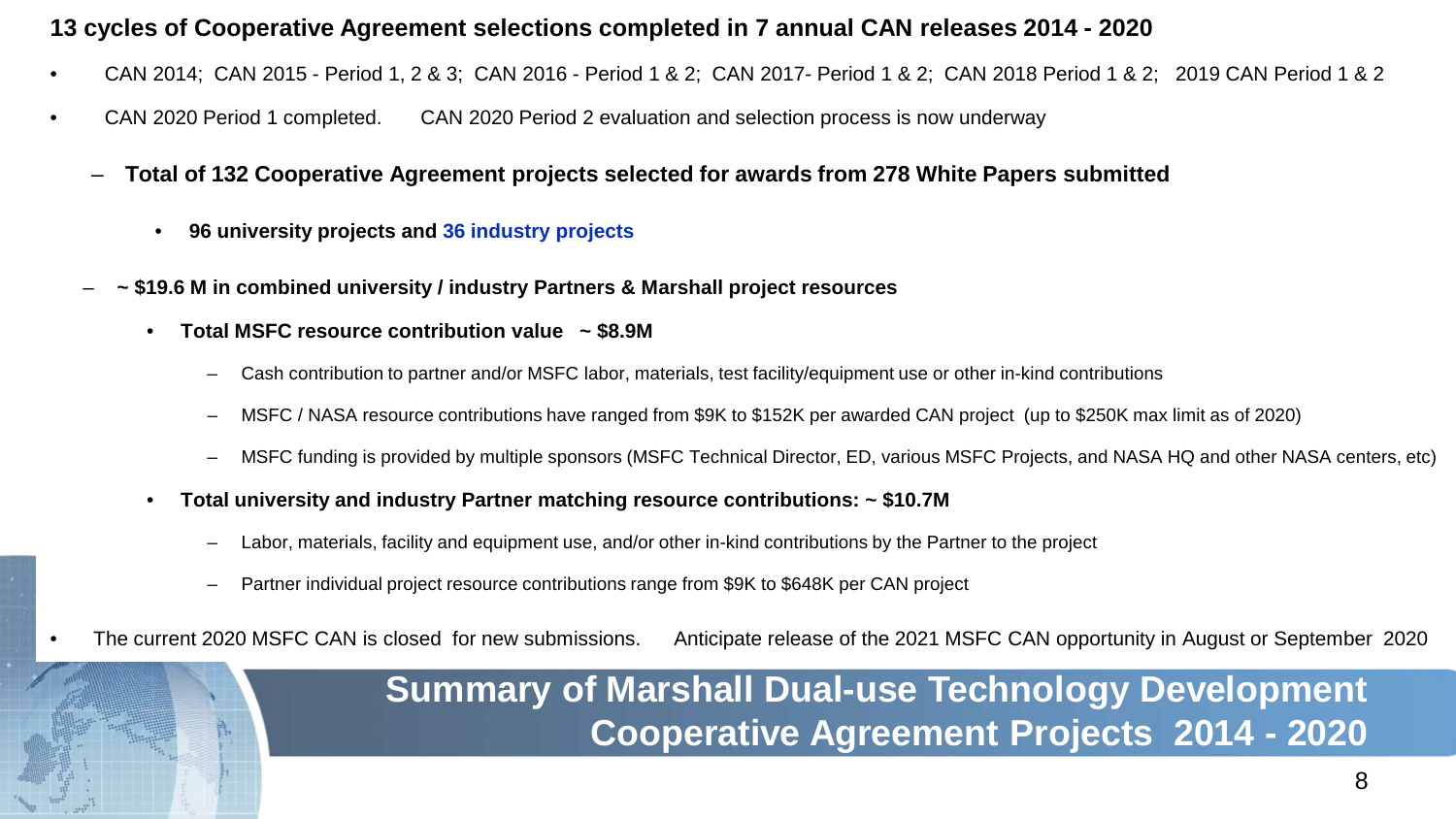#### **13 cycles of Cooperative Agreement selections completed in 7 annual CAN releases 2014 - 2020**

- CAN 2014; CAN 2015 Period 1, 2 & 3; CAN 2016 Period 1 & 2; CAN 2017- Period 1 & 2; CAN 2018 Period 1 & 2; 2019 CAN Period 1 & 2
- CAN 2020 Period 1 completed. CAN 2020 Period 2 evaluation and selection process is now underway
	- **Total of 132 Cooperative Agreement projects selected for awards from 278 White Papers submitted**
		- **96 university projects and 36 industry projects**
	- **~ \$19.6 M in combined university / industry Partners & Marshall project resources**
		- **Total MSFC resource contribution value ~ \$8.9M**
			- Cash contribution to partner and/or MSFC labor, materials, test facility/equipment use or other in-kind contributions
			- MSFC / NASA resource contributions have ranged from \$9K to \$152K per awarded CAN project (up to \$250K max limit as of 2020)
			- MSFC funding is provided by multiple sponsors (MSFC Technical Director, ED, various MSFC Projects, and NASA HQ and other NASA centers, etc)
		- **Total university and industry Partner matching resource contributions: ~ \$10.7M** 
			- Labor, materials, facility and equipment use, and/or other in-kind contributions by the Partner to the project
			- Partner individual project resource contributions range from \$9K to \$648K per CAN project
- The current 2020 MSFC CAN is closed for new submissions. Anticipate release of the 2021 MSFC CAN opportunity in August or September 2020

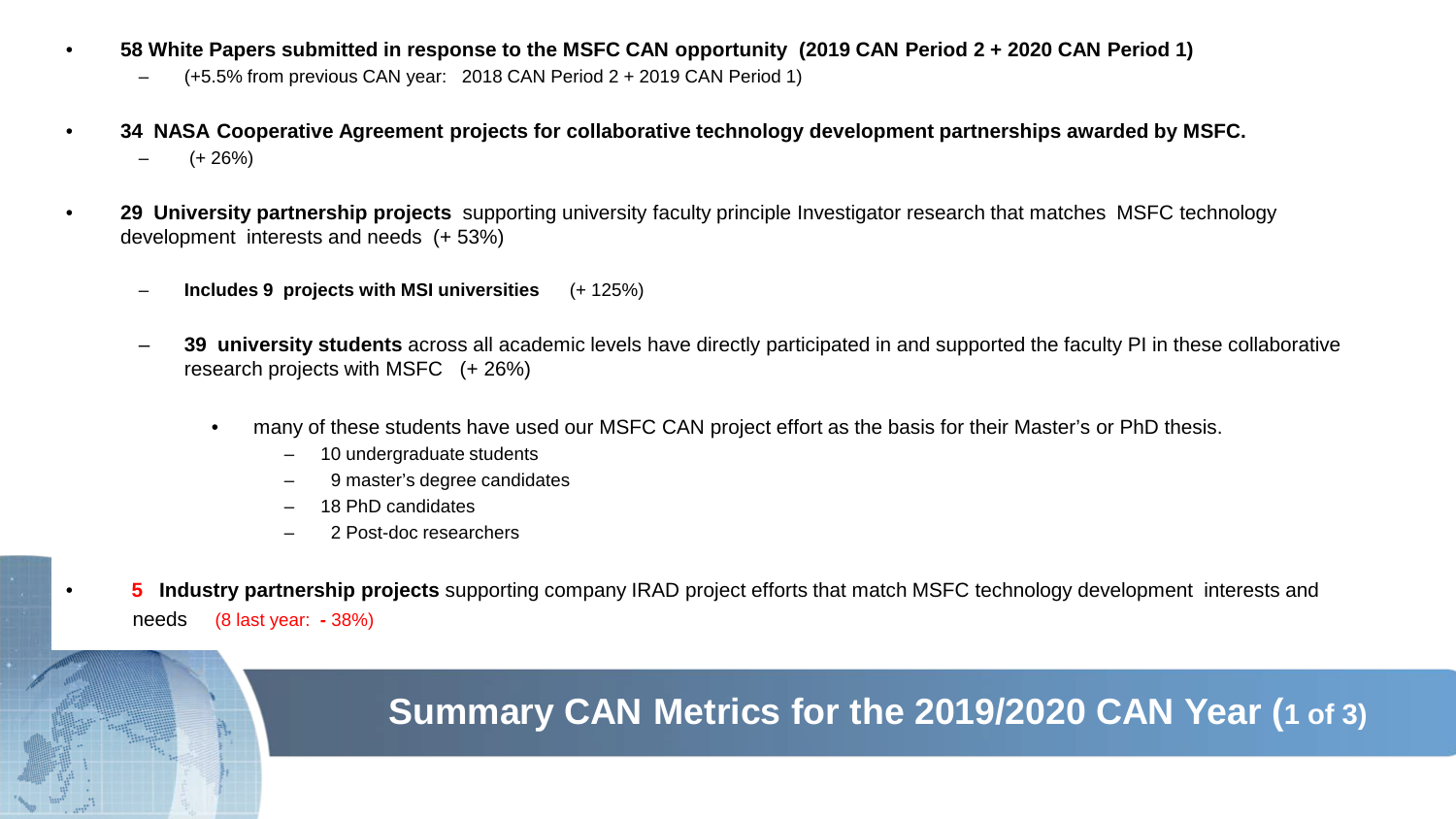- **58 White Papers submitted in response to the MSFC CAN opportunity (2019 CAN Period 2 + 2020 CAN Period 1)** 
	- (+5.5% from previous CAN year: 2018 CAN Period 2 + 2019 CAN Period 1)
- **34 NASA Cooperative Agreement projects for collaborative technology development partnerships awarded by MSFC.**  $(+ 26%)$
- **29 University partnership projects** supporting university faculty principle Investigator research that matches MSFC technology development interests and needs (+ 53%)
	- **Includes 9 projects with MSI universities** (+ 125%)
	- **39 university students** across all academic levels have directly participated in and supported the faculty PI in these collaborative research projects with MSFC (+ 26%)
		- many of these students have used our MSFC CAN project effort as the basis for their Master's or PhD thesis.
			- 10 undergraduate students
			- 9 master's degree candidates
			- 18 PhD candidates
			- 2 Post-doc researchers
- **5 Industry partnership projects** supporting company IRAD project efforts that match MSFC technology development interests and needs (8 last year: **-** 38%)

## **Summary CAN Metrics for the 2019/2020 CAN Year (1 of 3)**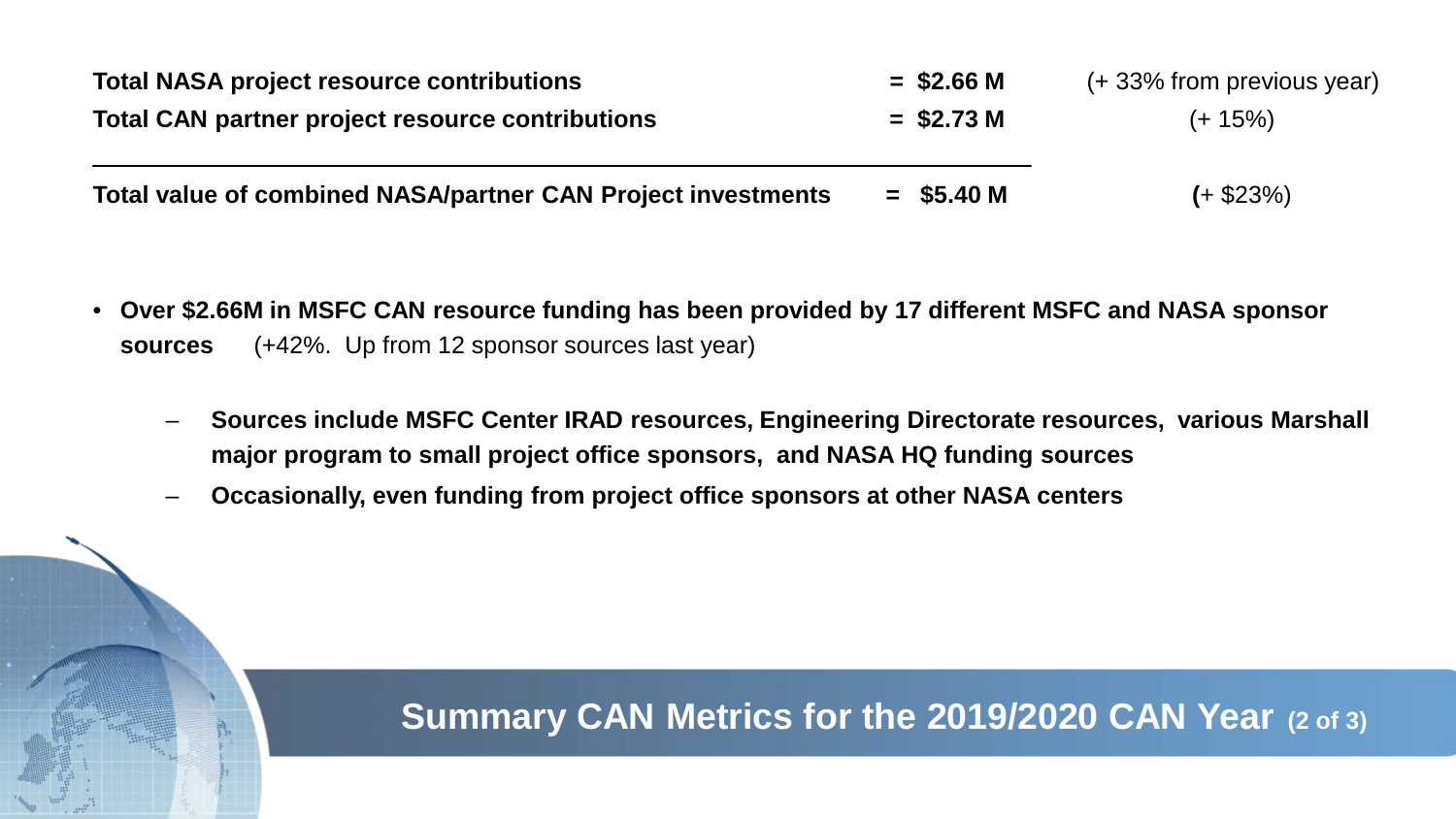| <b>Total NASA project resource contributions</b>             | $=$ \$2.66 M | (+33% from previous year) |
|--------------------------------------------------------------|--------------|---------------------------|
| Total CAN partner project resource contributions             | $=$ \$2.73 M | $(+ 15\%)$                |
| Total value of combined NASA/partner CAN Project investments | $=$ \$5.40 M | $(+ $23\%)$               |

- **Over \$2.66M in MSFC CAN resource funding has been provided by 17 different MSFC and NASA sponsor sources** (+42%. Up from 12 sponsor sources last year)
	- **Sources include MSFC Center IRAD resources, Engineering Directorate resources, various Marshall major program to small project office sponsors, and NASA HQ funding sources**
	- **Occasionally, even funding from project office sponsors at other NASA centers**

## **Summary CAN Metrics for the 2019/2020 CAN Year (2 of 3)**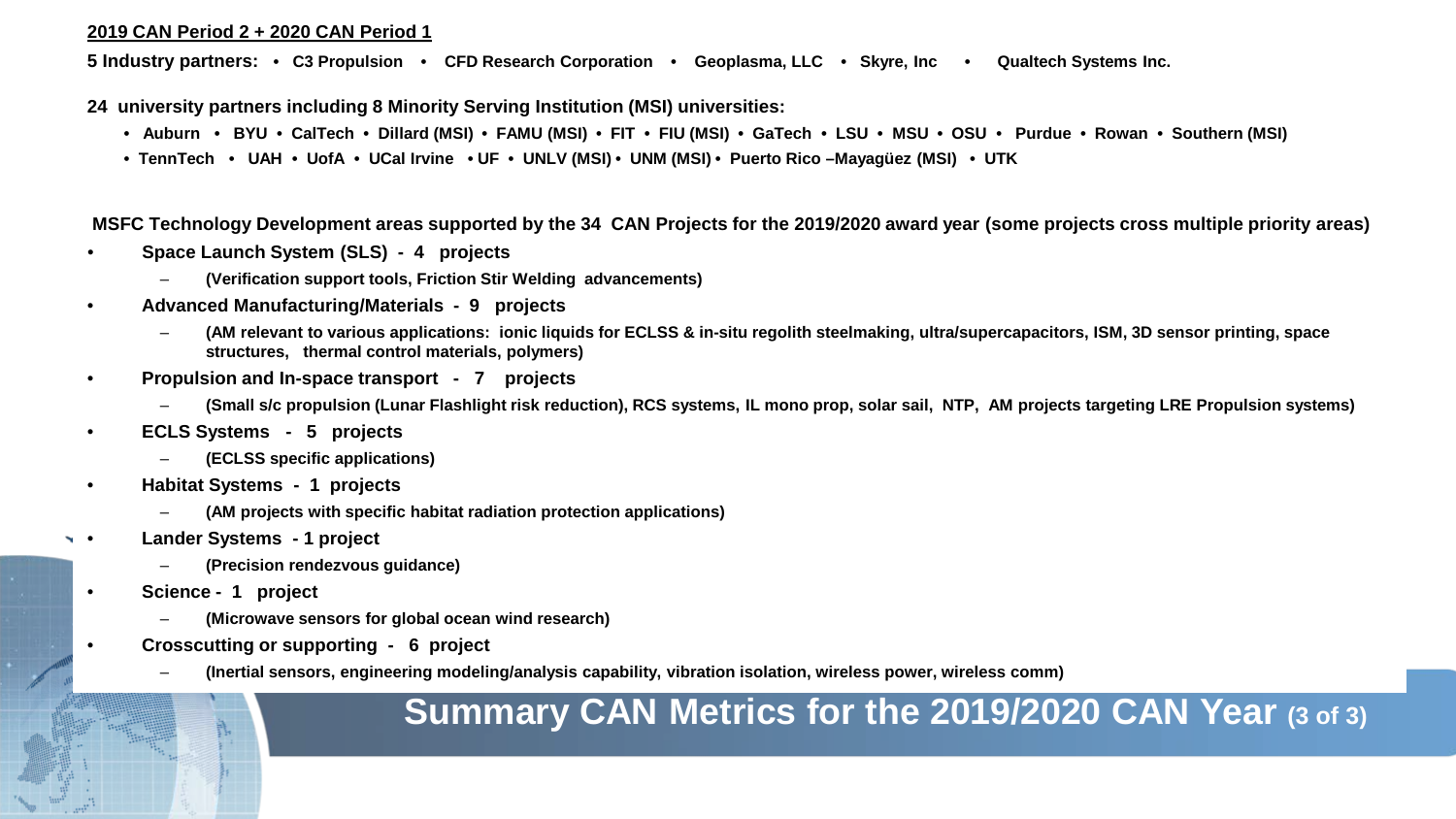#### **2019 CAN Period 2 + 2020 CAN Period 1**

**5 Industry partners: • C3 Propulsion • CFD Research Corporation • Geoplasma, LLC • Skyre, Inc • Qualtech Systems Inc.**

**24 university partners including 8 Minority Serving Institution (MSI) universities:**

- **Auburn BYU CalTech • Dillard (MSI) • FAMU (MSI) FIT FIU (MSI) GaTech LSU MSU • OSU Purdue • Rowan Southern (MSI)**
- **TennTech UAH UofA UCal Irvine UF UNLV (MSI) • UNM (MSI) • Puerto Rico –Mayagüez (MSI) UTK**

**MSFC Technology Development areas supported by the 34 CAN Projects for the 2019/2020 award year (some projects cross multiple priority areas)** 

- **Space Launch System (SLS) - 4 projects** 
	- **(Verification support tools, Friction Stir Welding advancements)**
- **Advanced Manufacturing/Materials - 9 projects** 
	- **(AM relevant to various applications: ionic liquids for ECLSS & in-situ regolith steelmaking, ultra/supercapacitors, ISM, 3D sensor printing, space structures, thermal control materials, polymers)**
- **Propulsion and In-space transport - 7 projects**
	- **(Small s/c propulsion (Lunar Flashlight risk reduction), RCS systems, IL mono prop, solar sail, NTP, AM projects targeting LRE Propulsion systems)**
- **ECLS Systems - 5 projects** 
	- **(ECLSS specific applications)**
- **Habitat Systems - 1 projects** 
	- **(AM projects with specific habitat radiation protection applications)**
- **Lander Systems - 1 project** 
	- **(Precision rendezvous guidance)**
	- **Science - 1 project** 
		- **(Microwave sensors for global ocean wind research)**
	- **Crosscutting or supporting - 6 project** 
		- **(Inertial sensors, engineering modeling/analysis capability, vibration isolation, wireless power, wireless comm)**

## **Summary CAN Metrics for the 2019/2020 CAN Year (3 of 3)**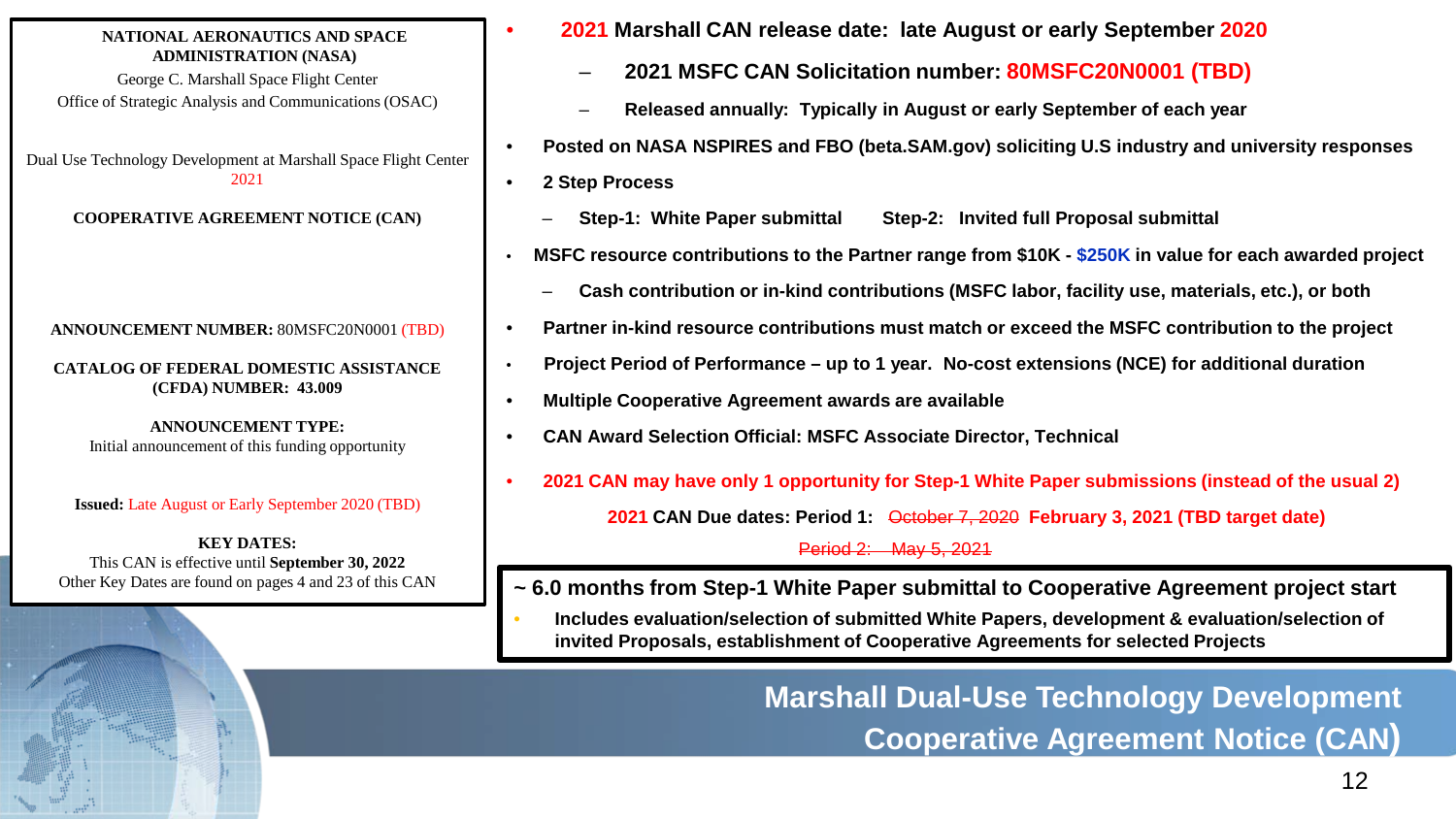#### **NATIONAL AERONAUTICS AND SPACE ADMINISTRATION (NASA)**

George C. Marshall Space Flight Center Office of Strategic Analysis and Communications (OSAC)

Dual Use Technology Development at Marshall Space Flight Center 2021

**COOPERATIVE AGREEMENT NOTICE (CAN)**

#### **ANNOUNCEMENT NUMBER:** 80MSFC20N0001 (TBD)

**CATALOG OF FEDERAL DOMESTIC ASSISTANCE (CFDA) NUMBER: 43.009**

**ANNOUNCEMENT TYPE:**  Initial announcement of this funding opportunity

#### **Issued:** Late August or Early September 2020 (TBD)

**KEY DATES:**  This CAN is effective until **September 30, 2022** Other Key Dates are found on pages 4 and 23 of this CAN

- **2021 Marshall CAN release date: late August or early September 2020**
	- **2021 MSFC CAN Solicitation number: 80MSFC20N0001 (TBD)**
	- **Released annually: Typically in August or early September of each year**
- **Posted on NASA NSPIRES and FBO (beta.SAM.gov) soliciting U.S industry and university responses**
- **2 Step Process**
	- **Step-1: White Paper submittal Step-2: Invited full Proposal submittal**
- **MSFC resource contributions to the Partner range from \$10K - \$250K in value for each awarded project**
	- **Cash contribution or in-kind contributions (MSFC labor, facility use, materials, etc.), or both**
- **Partner in-kind resource contributions must match or exceed the MSFC contribution to the project**
- **Project Period of Performance – up to 1 year. No-cost extensions (NCE) for additional duration**
- **Multiple Cooperative Agreement awards are available**
- **CAN Award Selection Official: MSFC Associate Director, Technical**
- **2021 CAN may have only 1 opportunity for Step-1 White Paper submissions (instead of the usual 2) 2021 CAN Due dates: Period 1:** October 7, 2020 **February 3, 2021 (TBD target date)**

Period 2: May 5, 2021

- **~ 6.0 months from Step-1 White Paper submittal to Cooperative Agreement project start**
- **Includes evaluation/selection of submitted White Papers, development & evaluation/selection of invited Proposals, establishment of Cooperative Agreements for selected Projects**

**Marshall Dual-Use Technology Development Cooperative Agreement Notice (CAN)**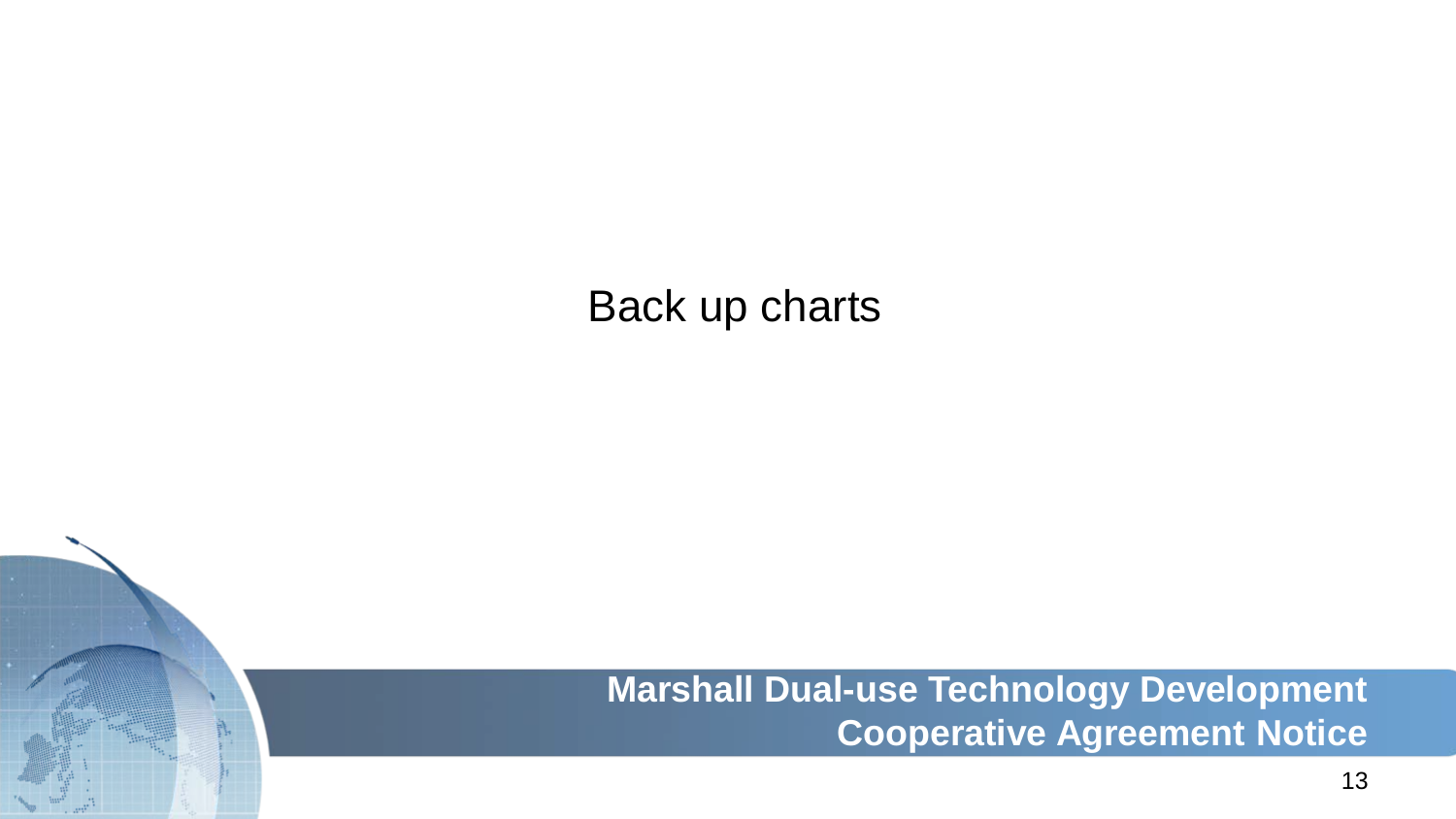# Back up charts

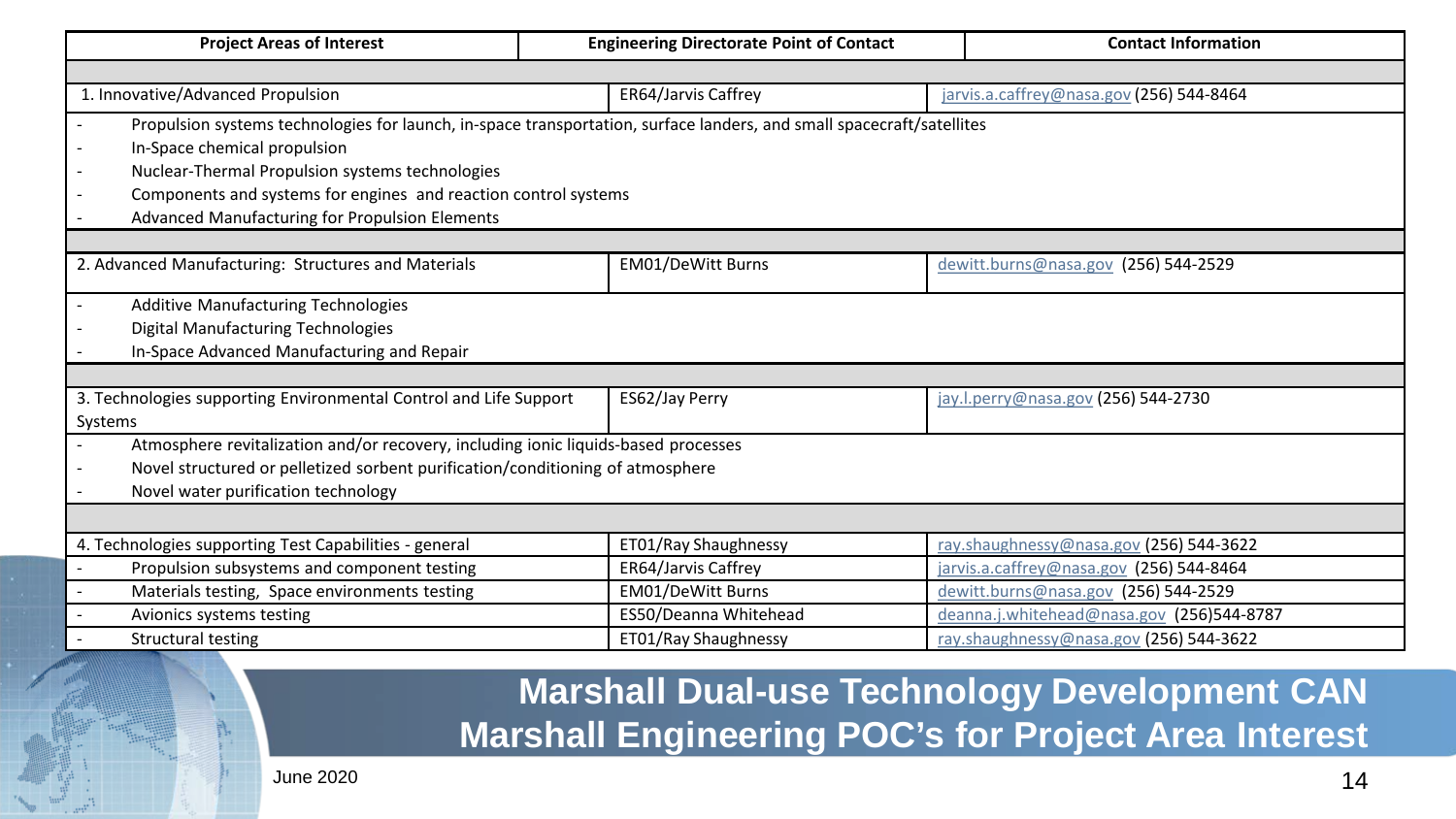| <b>Project Areas of Interest</b>                                                                                      | <b>Engineering Directorate Point of Contact</b> | <b>Contact Information</b>                |
|-----------------------------------------------------------------------------------------------------------------------|-------------------------------------------------|-------------------------------------------|
|                                                                                                                       |                                                 |                                           |
| 1. Innovative/Advanced Propulsion                                                                                     | ER64/Jarvis Caffrey                             | jarvis.a.caffrey@nasa.gov (256) 544-8464  |
| Propulsion systems technologies for launch, in-space transportation, surface landers, and small spacecraft/satellites |                                                 |                                           |
| In-Space chemical propulsion                                                                                          |                                                 |                                           |
| Nuclear-Thermal Propulsion systems technologies                                                                       |                                                 |                                           |
| Components and systems for engines and reaction control systems                                                       |                                                 |                                           |
| Advanced Manufacturing for Propulsion Elements                                                                        |                                                 |                                           |
|                                                                                                                       |                                                 |                                           |
| 2. Advanced Manufacturing: Structures and Materials                                                                   | <b>EM01/DeWitt Burns</b>                        | dewitt.burns@nasa.gov (256) 544-2529      |
| Additive Manufacturing Technologies                                                                                   |                                                 |                                           |
| Digital Manufacturing Technologies                                                                                    |                                                 |                                           |
| In-Space Advanced Manufacturing and Repair                                                                            |                                                 |                                           |
|                                                                                                                       |                                                 |                                           |
| 3. Technologies supporting Environmental Control and Life Support                                                     | ES62/Jay Perry                                  | jay.l.perry@nasa.gov (256) 544-2730       |
| Systems                                                                                                               |                                                 |                                           |
| Atmosphere revitalization and/or recovery, including ionic liquids-based processes                                    |                                                 |                                           |
| Novel structured or pelletized sorbent purification/conditioning of atmosphere                                        |                                                 |                                           |
| Novel water purification technology                                                                                   |                                                 |                                           |
|                                                                                                                       |                                                 |                                           |
| 4. Technologies supporting Test Capabilities - general                                                                | ET01/Ray Shaughnessy                            | ray.shaughnessy@nasa.gov (256) 544-3622   |
| Propulsion subsystems and component testing                                                                           | ER64/Jarvis Caffrey                             | jarvis.a.caffrey@nasa.gov (256) 544-8464  |
| Materials testing, Space environments testing<br>$\sim$                                                               | <b>EM01/DeWitt Burns</b>                        | dewitt.burns@nasa.gov (256) 544-2529      |
| Avionics systems testing                                                                                              | ES50/Deanna Whitehead                           | deanna.j.whitehead@nasa.gov (256)544-8787 |
| Structural testing                                                                                                    | ET01/Ray Shaughnessy                            | ray.shaughnessy@nasa.gov (256) 544-3622   |

# **Marshall Dual-use Technology Development CAN Marshall Engineering POC's for Project Area Interest**

June 2020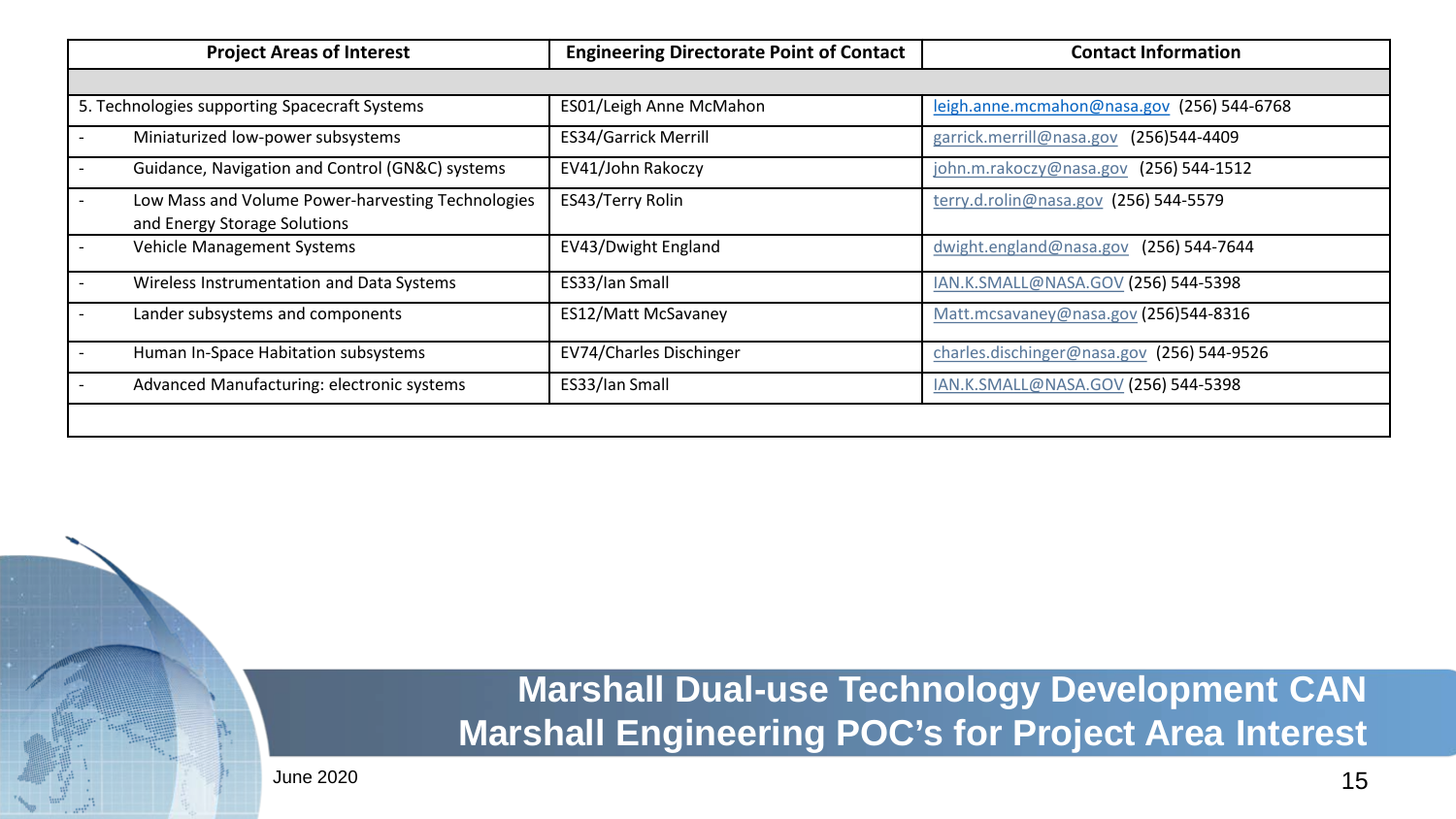| <b>Project Areas of Interest</b>                                                  | <b>Engineering Directorate Point of Contact</b> | <b>Contact Information</b>                 |
|-----------------------------------------------------------------------------------|-------------------------------------------------|--------------------------------------------|
|                                                                                   |                                                 |                                            |
| 5. Technologies supporting Spacecraft Systems                                     | ES01/Leigh Anne McMahon                         | leigh.anne.mcmahon@nasa.gov (256) 544-6768 |
| Miniaturized low-power subsystems                                                 | <b>ES34/Garrick Merrill</b>                     | garrick.merrill@nasa.gov<br>(256)544-4409  |
| Guidance, Navigation and Control (GN&C) systems                                   | EV41/John Rakoczy                               | john.m.rakoczy@nasa.gov<br>(256) 544-1512  |
| Low Mass and Volume Power-harvesting Technologies<br>and Energy Storage Solutions | ES43/Terry Rolin                                | terry.d.rolin@nasa.gov (256) 544-5579      |
| Vehicle Management Systems                                                        | EV43/Dwight England                             | dwight.england@nasa.gov<br>(256) 544-7644  |
| Wireless Instrumentation and Data Systems                                         | ES33/Ian Small                                  | IAN.K.SMALL@NASA.GOV (256) 544-5398        |
| Lander subsystems and components                                                  | <b>ES12/Matt McSavaney</b>                      | Matt.mcsavaney@nasa.gov (256)544-8316      |
| Human In-Space Habitation subsystems                                              | EV74/Charles Dischinger                         | charles.dischinger@nasa.gov (256) 544-9526 |
| Advanced Manufacturing: electronic systems                                        | ES33/Ian Small                                  | IAN.K.SMALL@NASA.GOV (256) 544-5398        |
|                                                                                   |                                                 |                                            |

# **Marshall Dual-use Technology Development CAN Marshall Engineering POC's for Project Area Interest**

June 2020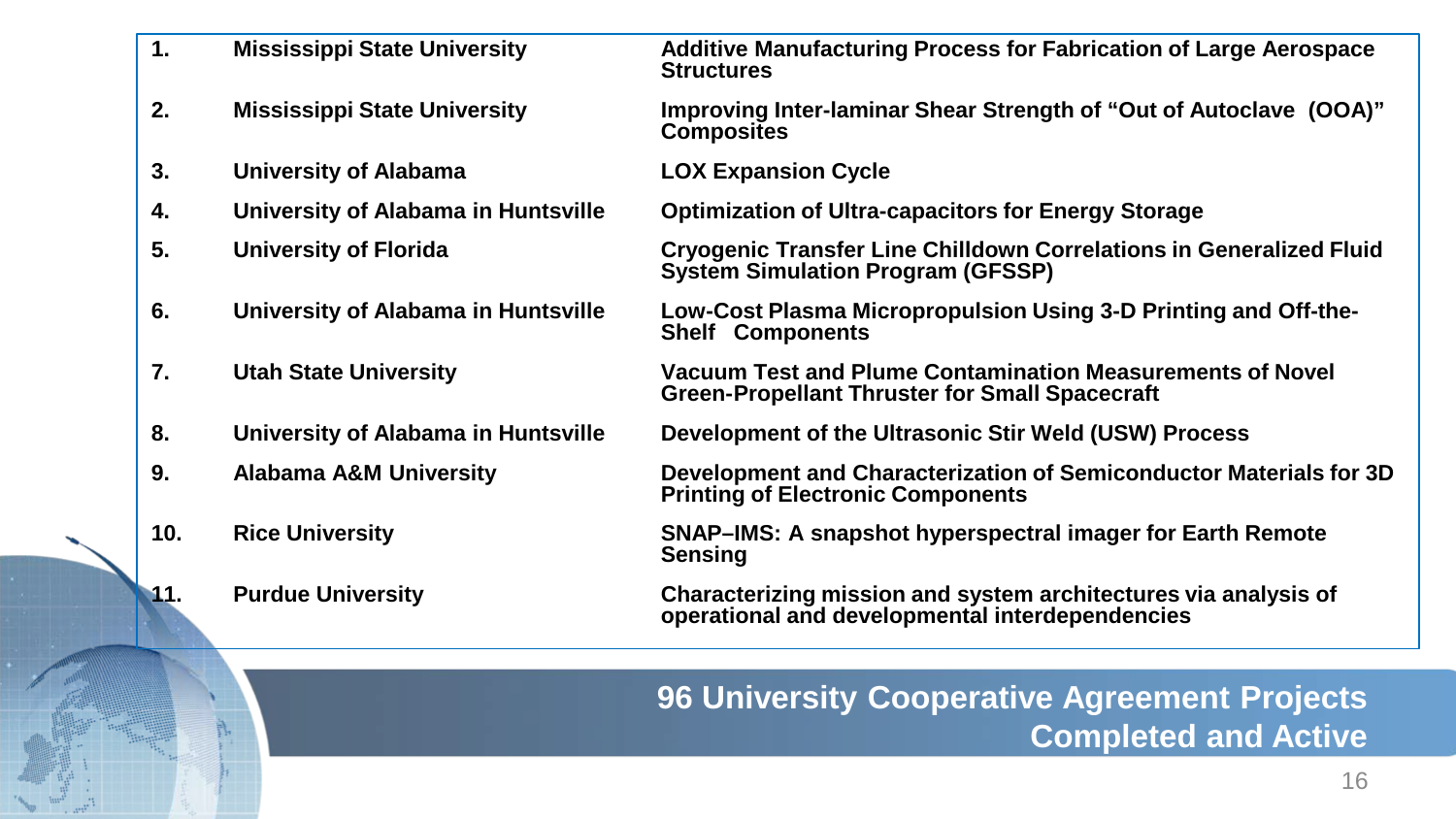| 1.  | <b>Mississippi State University</b> | <b>Additive Manufacturing Process for Fabrication of Large Aerospace</b><br><b>Structures</b>                          |
|-----|-------------------------------------|------------------------------------------------------------------------------------------------------------------------|
| 2.  | <b>Mississippi State University</b> | Improving Inter-laminar Shear Strength of "Out of Autoclave (OOA)"<br><b>Composites</b>                                |
| 3.  | University of Alabama               | <b>LOX Expansion Cycle</b>                                                                                             |
| 4.  | University of Alabama in Huntsville | <b>Optimization of Ultra-capacitors for Energy Storage</b>                                                             |
| 5.  | University of Florida               | <b>Cryogenic Transfer Line Chilldown Correlations in Generalized Fluid</b><br><b>System Simulation Program (GFSSP)</b> |
| 6.  | University of Alabama in Huntsville | Low-Cost Plasma Micropropulsion Using 3-D Printing and Off-the-<br><b>Shelf Components</b>                             |
| 7.  | <b>Utah State University</b>        | Vacuum Test and Plume Contamination Measurements of Novel<br><b>Green-Propellant Thruster for Small Spacecraft</b>     |
| 8.  | University of Alabama in Huntsville | Development of the Ultrasonic Stir Weld (USW) Process                                                                  |
| 9.  | <b>Alabama A&amp;M University</b>   | Development and Characterization of Semiconductor Materials for 3D<br><b>Printing of Electronic Components</b>         |
| 10. | <b>Rice University</b>              | SNAP-IMS: A snapshot hyperspectral imager for Earth Remote<br><b>Sensing</b>                                           |
| 11. | <b>Purdue University</b>            | Characterizing mission and system architectures via analysis of<br>operational and developmental interdependencies     |
|     |                                     |                                                                                                                        |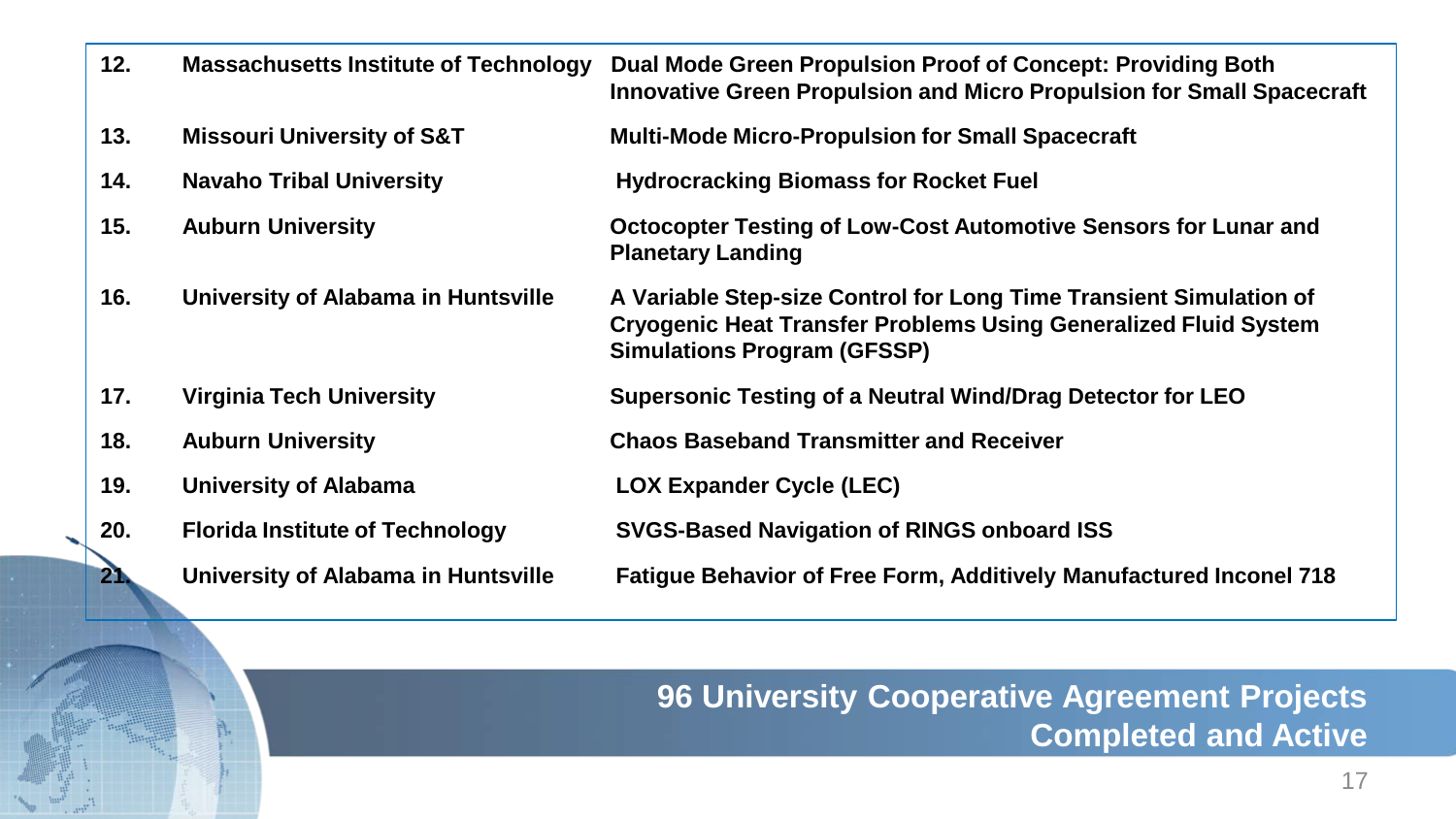| 12.             | <b>Massachusetts Institute of Technology</b> | Dual Mode Green Propulsion Proof of Concept: Providing Both<br>Innovative Green Propulsion and Micro Propulsion for Small Spacecraft                                               |
|-----------------|----------------------------------------------|------------------------------------------------------------------------------------------------------------------------------------------------------------------------------------|
| 13.             | <b>Missouri University of S&amp;T</b>        | <b>Multi-Mode Micro-Propulsion for Small Spacecraft</b>                                                                                                                            |
| 14.             | <b>Navaho Tribal University</b>              | <b>Hydrocracking Biomass for Rocket Fuel</b>                                                                                                                                       |
| 15.             | <b>Auburn University</b>                     | Octocopter Testing of Low-Cost Automotive Sensors for Lunar and<br><b>Planetary Landing</b>                                                                                        |
| 16.             | University of Alabama in Huntsville          | A Variable Step-size Control for Long Time Transient Simulation of<br><b>Cryogenic Heat Transfer Problems Using Generalized Fluid System</b><br><b>Simulations Program (GFSSP)</b> |
| 17.             | <b>Virginia Tech University</b>              | Supersonic Testing of a Neutral Wind/Drag Detector for LEO                                                                                                                         |
| 18.             | <b>Auburn University</b>                     | <b>Chaos Baseband Transmitter and Receiver</b>                                                                                                                                     |
| 19.             | <b>University of Alabama</b>                 | <b>LOX Expander Cycle (LEC)</b>                                                                                                                                                    |
| 20.             | <b>Florida Institute of Technology</b>       | <b>SVGS-Based Navigation of RINGS onboard ISS</b>                                                                                                                                  |
| $\overline{21}$ | University of Alabama in Huntsville          | <b>Fatigue Behavior of Free Form, Additively Manufactured Inconel 718</b>                                                                                                          |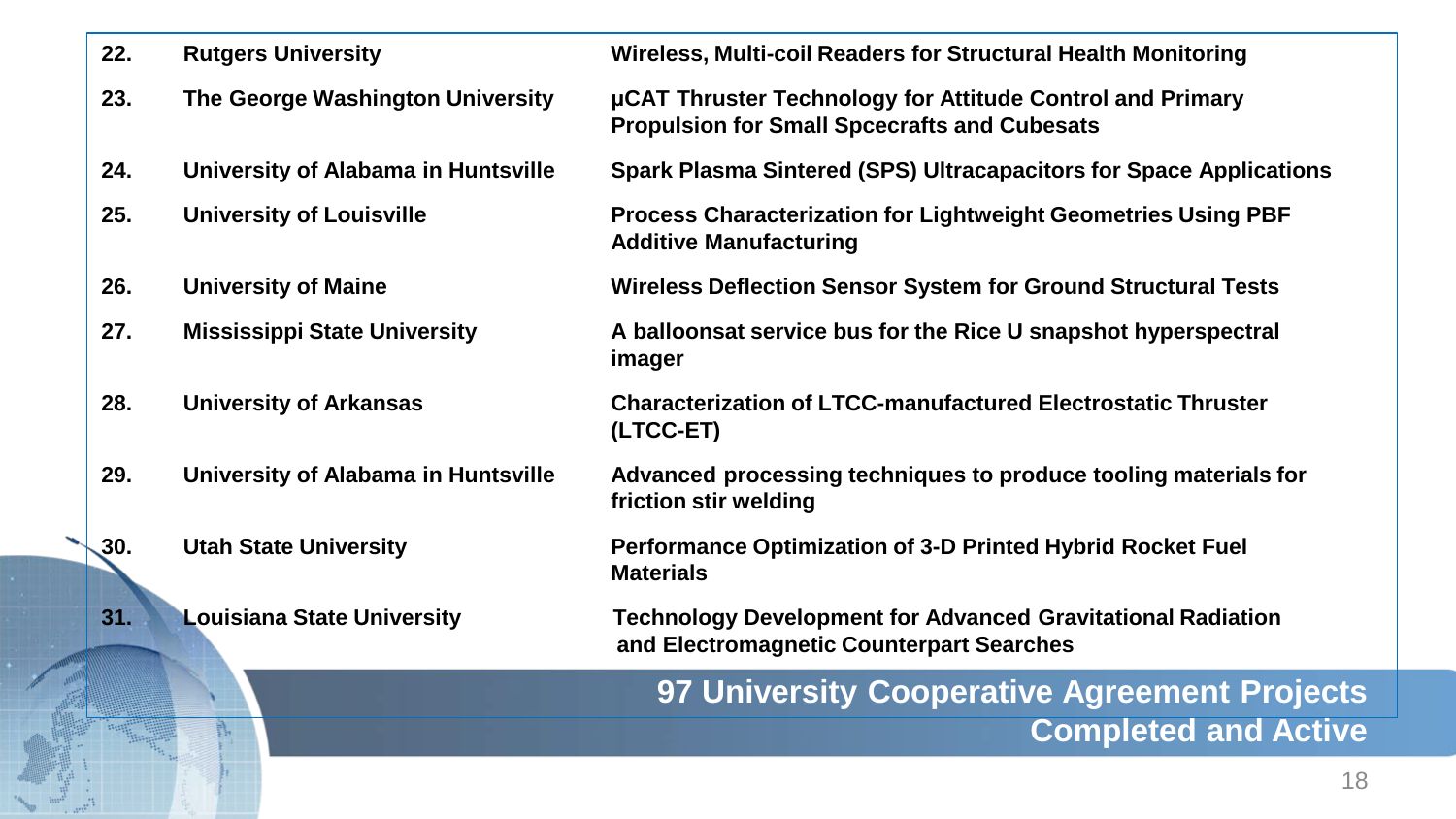| 22. | <b>Rutgers University</b>           | Wireless, Multi-coil Readers for Structural Health Monitoring                                                    |
|-----|-------------------------------------|------------------------------------------------------------------------------------------------------------------|
| 23. | The George Washington University    | µCAT Thruster Technology for Attitude Control and Primary<br><b>Propulsion for Small Spcecrafts and Cubesats</b> |
| 24. | University of Alabama in Huntsville | Spark Plasma Sintered (SPS) Ultracapacitors for Space Applications                                               |
| 25. | <b>University of Louisville</b>     | <b>Process Characterization for Lightweight Geometries Using PBF</b><br><b>Additive Manufacturing</b>            |
| 26. | <b>University of Maine</b>          | <b>Wireless Deflection Sensor System for Ground Structural Tests</b>                                             |
| 27. | <b>Mississippi State University</b> | A balloonsat service bus for the Rice U snapshot hyperspectral<br>imager                                         |
| 28. | <b>University of Arkansas</b>       | <b>Characterization of LTCC-manufactured Electrostatic Thruster</b><br>(LTCC-ET)                                 |
| 29. | University of Alabama in Huntsville | Advanced processing techniques to produce tooling materials for<br>friction stir welding                         |
| 30. | <b>Utah State University</b>        | <b>Performance Optimization of 3-D Printed Hybrid Rocket Fuel</b><br><b>Materials</b>                            |
| 31. | <b>Louisiana State University</b>   | <b>Technology Development for Advanced Gravitational Radiation</b><br>and Electromagnetic Counterpart Searches   |
|     |                                     | 97 University Cooperative Agreement Projects                                                                     |
|     | N,                                  | <b>Completed and Active</b>                                                                                      |
|     |                                     |                                                                                                                  |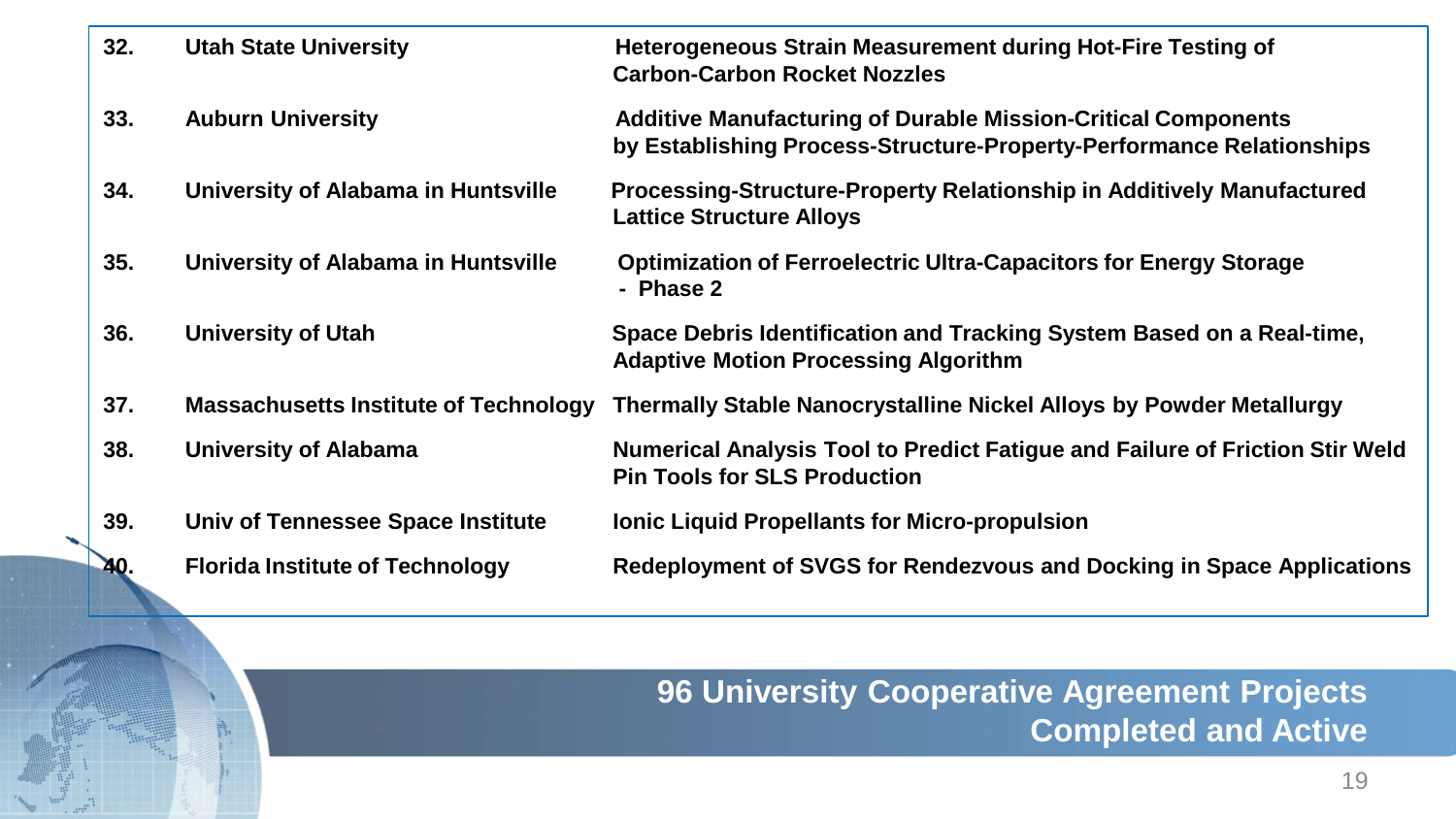| 32. | <b>Utah State University</b>                 | <b>Heterogeneous Strain Measurement during Hot-Fire Testing of</b><br><b>Carbon-Carbon Rocket Nozzles</b>                                    |
|-----|----------------------------------------------|----------------------------------------------------------------------------------------------------------------------------------------------|
| 33. | <b>Auburn University</b>                     | <b>Additive Manufacturing of Durable Mission-Critical Components</b><br>by Establishing Process-Structure-Property-Performance Relationships |
| 34. | University of Alabama in Huntsville          | Processing-Structure-Property Relationship in Additively Manufactured<br><b>Lattice Structure Alloys</b>                                     |
| 35. | University of Alabama in Huntsville          | <b>Optimization of Ferroelectric Ultra-Capacitors for Energy Storage</b><br>- Phase 2                                                        |
| 36. | <b>University of Utah</b>                    | Space Debris Identification and Tracking System Based on a Real-time,<br><b>Adaptive Motion Processing Algorithm</b>                         |
| 37. | <b>Massachusetts Institute of Technology</b> | <b>Thermally Stable Nanocrystalline Nickel Alloys by Powder Metallurgy</b>                                                                   |
| 38. | <b>University of Alabama</b>                 | Numerical Analysis Tool to Predict Fatigue and Failure of Friction Stir Weld<br><b>Pin Tools for SLS Production</b>                          |
| 39. | Univ of Tennessee Space Institute            | <b>Ionic Liquid Propellants for Micro-propulsion</b>                                                                                         |
| 40. | <b>Florida Institute of Technology</b>       | Redeployment of SVGS for Rendezvous and Docking in Space Applications                                                                        |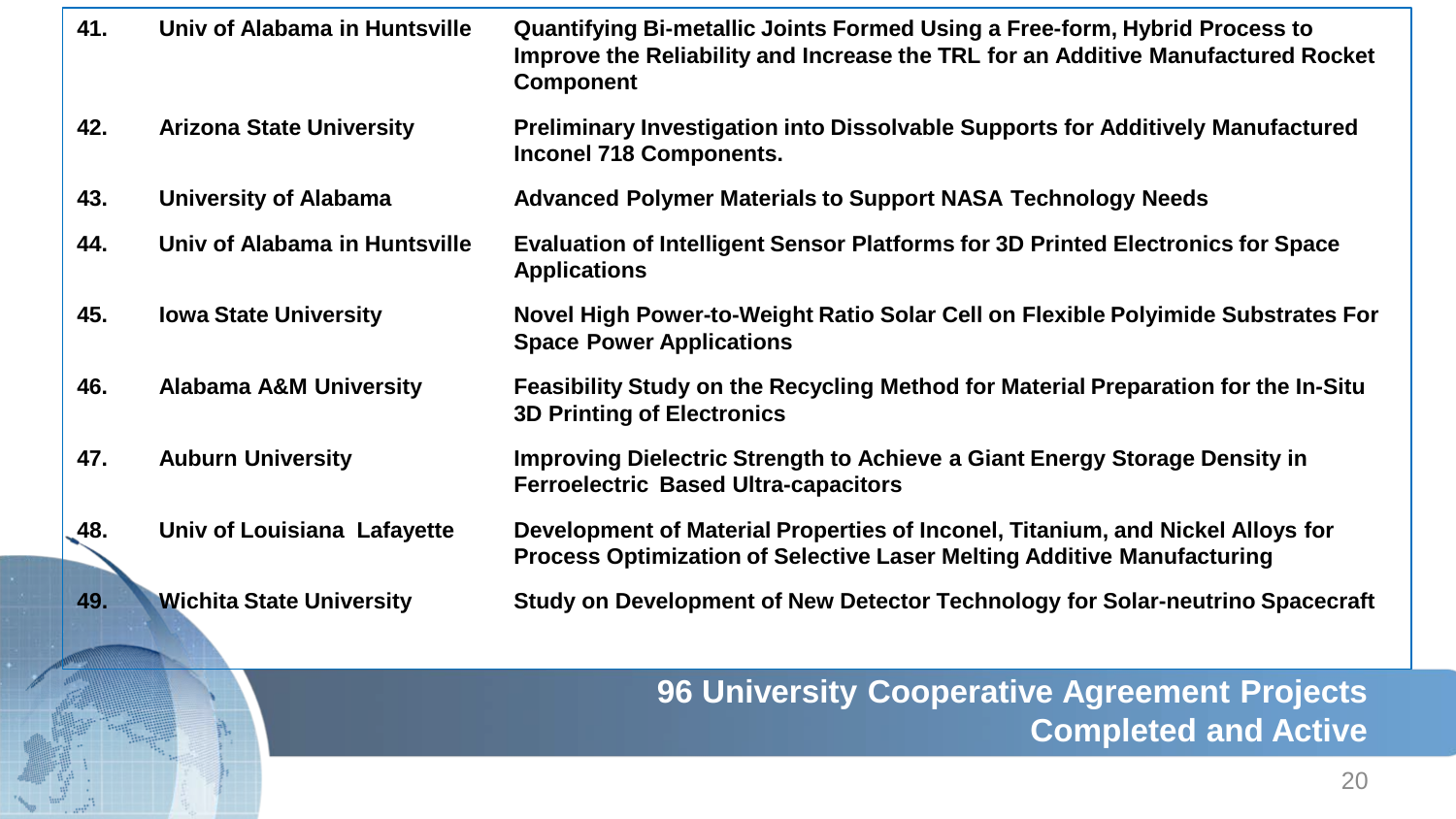| 41.           | Univ of Alabama in Huntsville     | <b>Quantifying Bi-metallic Joints Formed Using a Free-form, Hybrid Process to</b><br>Improve the Reliability and Increase the TRL for an Additive Manufactured Rocket<br><b>Component</b> |
|---------------|-----------------------------------|-------------------------------------------------------------------------------------------------------------------------------------------------------------------------------------------|
| 42.           | <b>Arizona State University</b>   | Preliminary Investigation into Dissolvable Supports for Additively Manufactured<br><b>Inconel 718 Components.</b>                                                                         |
| 43.           | <b>University of Alabama</b>      | <b>Advanced Polymer Materials to Support NASA Technology Needs</b>                                                                                                                        |
| 44.           | Univ of Alabama in Huntsville     | <b>Evaluation of Intelligent Sensor Platforms for 3D Printed Electronics for Space</b><br><b>Applications</b>                                                                             |
| 45.           | <b>Iowa State University</b>      | Novel High Power-to-Weight Ratio Solar Cell on Flexible Polyimide Substrates For<br><b>Space Power Applications</b>                                                                       |
| 46.           | <b>Alabama A&amp;M University</b> | Feasibility Study on the Recycling Method for Material Preparation for the In-Situ<br><b>3D Printing of Electronics</b>                                                                   |
| 47.           | <b>Auburn University</b>          | Improving Dielectric Strength to Achieve a Giant Energy Storage Density in<br><b>Ferroelectric Based Ultra-capacitors</b>                                                                 |
| $\sqrt{48}$ . | Univ of Louisiana Lafayette       | Development of Material Properties of Inconel, Titanium, and Nickel Alloys for<br>Process Optimization of Selective Laser Melting Additive Manufacturing                                  |
| 49.           | <b>Wichita State University</b>   | Study on Development of New Detector Technology for Solar-neutrino Spacecraft                                                                                                             |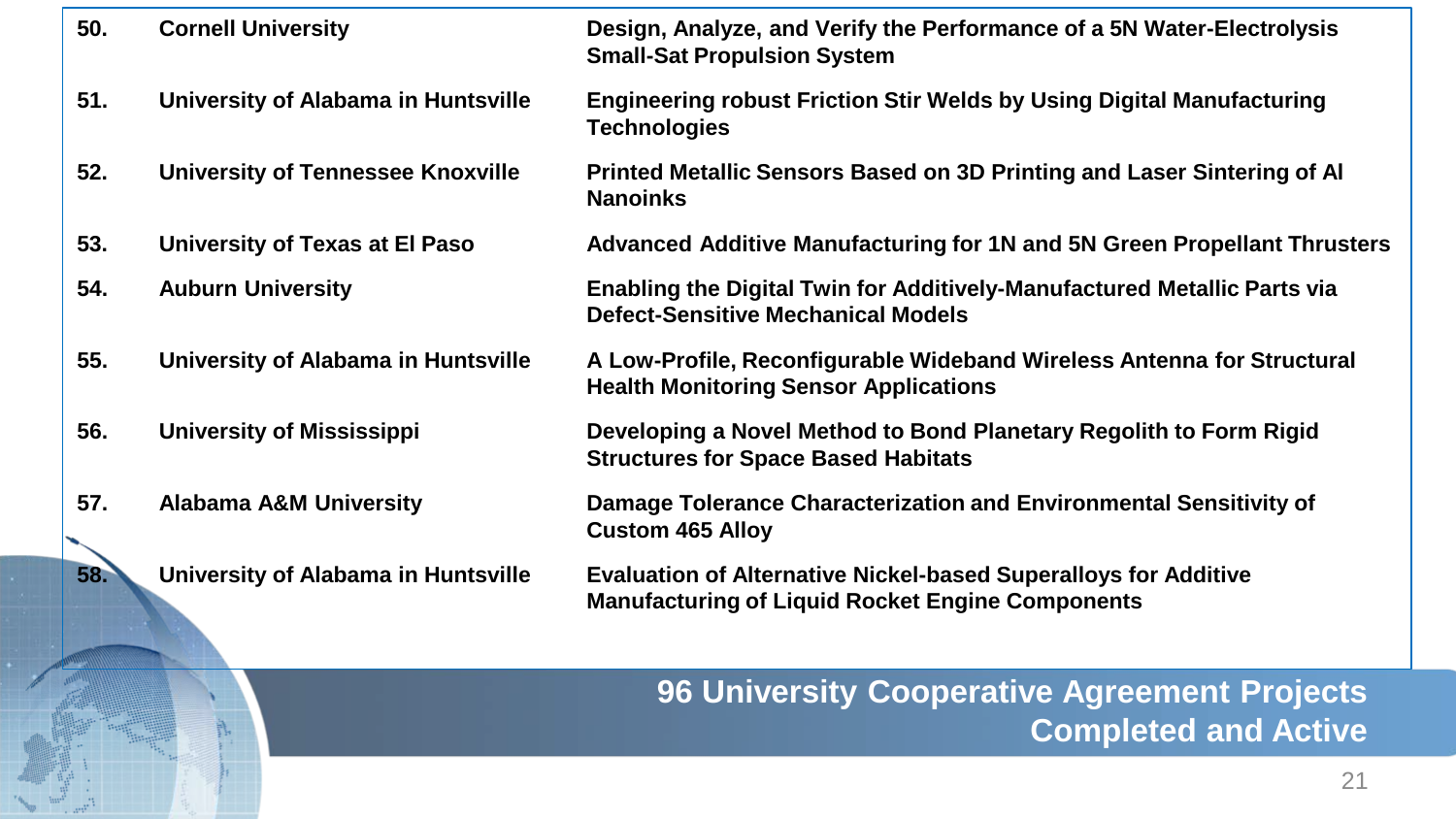| 50. | <b>Cornell University</b>                | Design, Analyze, and Verify the Performance of a 5N Water-Electrolysis<br><b>Small-Sat Propulsion System</b>                      |
|-----|------------------------------------------|-----------------------------------------------------------------------------------------------------------------------------------|
| 51. | University of Alabama in Huntsville      | <b>Engineering robust Friction Stir Welds by Using Digital Manufacturing</b><br><b>Technologies</b>                               |
| 52. | <b>University of Tennessee Knoxville</b> | Printed Metallic Sensors Based on 3D Printing and Laser Sintering of Al<br><b>Nanoinks</b>                                        |
| 53. | University of Texas at El Paso           | <b>Advanced Additive Manufacturing for 1N and 5N Green Propellant Thrusters</b>                                                   |
| 54. | <b>Auburn University</b>                 | Enabling the Digital Twin for Additively-Manufactured Metallic Parts via<br><b>Defect-Sensitive Mechanical Models</b>             |
| 55. | University of Alabama in Huntsville      | A Low-Profile, Reconfigurable Wideband Wireless Antenna for Structural<br><b>Health Monitoring Sensor Applications</b>            |
| 56. | <b>University of Mississippi</b>         | Developing a Novel Method to Bond Planetary Regolith to Form Rigid<br><b>Structures for Space Based Habitats</b>                  |
| 57. | <b>Alabama A&amp;M University</b>        | Damage Tolerance Characterization and Environmental Sensitivity of<br><b>Custom 465 Alloy</b>                                     |
| 58. | University of Alabama in Huntsville      | <b>Evaluation of Alternative Nickel-based Superalloys for Additive</b><br><b>Manufacturing of Liquid Rocket Engine Components</b> |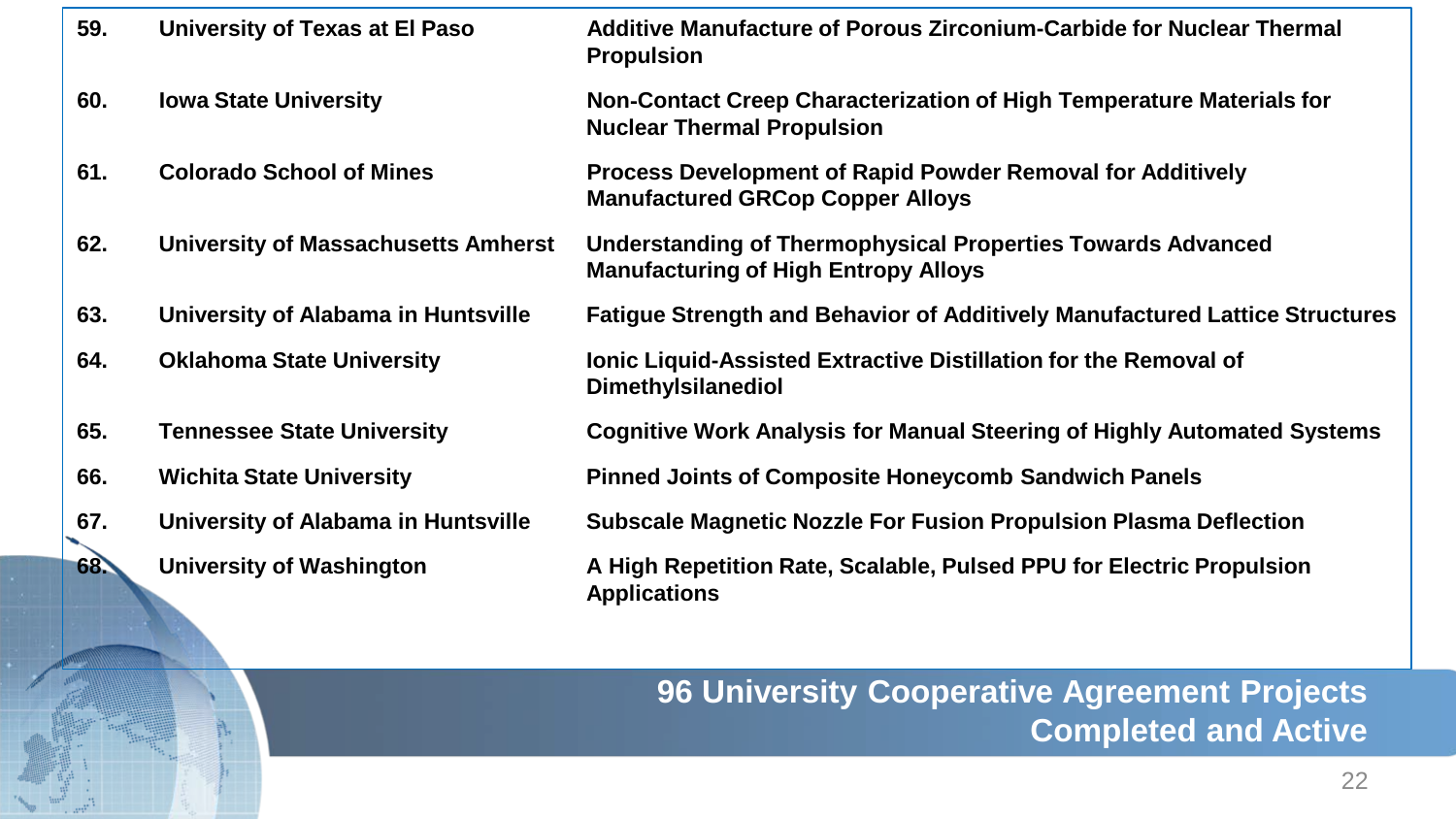| 59. | University of Texas at El Paso      | Additive Manufacture of Porous Zirconium-Carbide for Nuclear Thermal<br><b>Propulsion</b>                    |
|-----|-------------------------------------|--------------------------------------------------------------------------------------------------------------|
| 60. | <b>Iowa State University</b>        | Non-Contact Creep Characterization of High Temperature Materials for<br><b>Nuclear Thermal Propulsion</b>    |
| 61. | <b>Colorado School of Mines</b>     | <b>Process Development of Rapid Powder Removal for Additively</b><br><b>Manufactured GRCop Copper Alloys</b> |
| 62. | University of Massachusetts Amherst | Understanding of Thermophysical Properties Towards Advanced<br><b>Manufacturing of High Entropy Alloys</b>   |
| 63. | University of Alabama in Huntsville | <b>Fatigue Strength and Behavior of Additively Manufactured Lattice Structures</b>                           |
| 64. | <b>Oklahoma State University</b>    | <b>Ionic Liquid-Assisted Extractive Distillation for the Removal of</b><br><b>Dimethylsilanediol</b>         |
| 65. | <b>Tennessee State University</b>   | <b>Cognitive Work Analysis for Manual Steering of Highly Automated Systems</b>                               |
| 66. | <b>Wichita State University</b>     | <b>Pinned Joints of Composite Honeycomb Sandwich Panels</b>                                                  |
| 67. | University of Alabama in Huntsville | Subscale Magnetic Nozzle For Fusion Propulsion Plasma Deflection                                             |
| 68. | <b>University of Washington</b>     | A High Repetition Rate, Scalable, Pulsed PPU for Electric Propulsion<br><b>Applications</b>                  |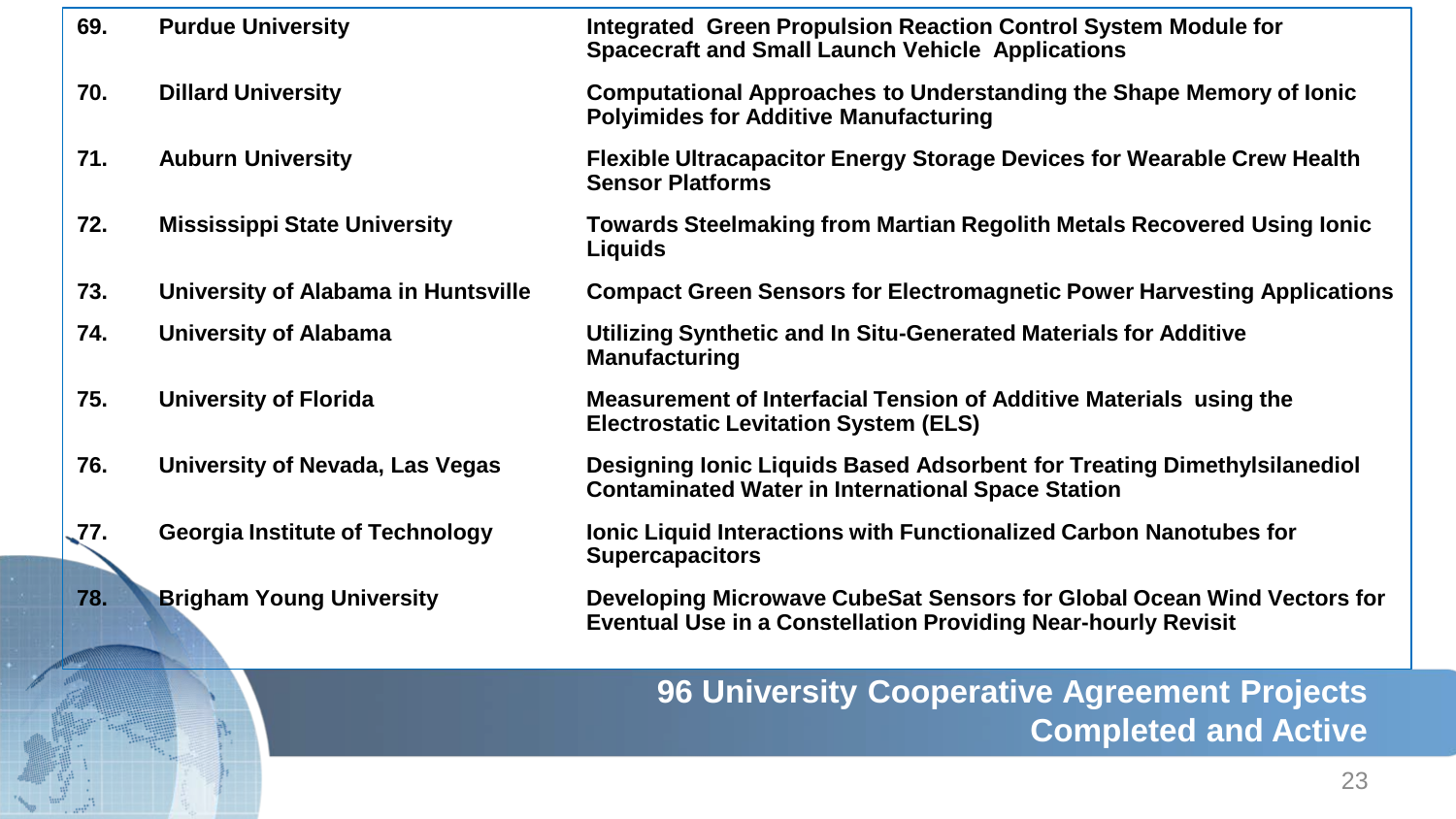| 69.<br><b>Purdue University</b><br>Integrated Green Propulsion Reaction Control System Module for<br><b>Spacecraft and Small Launch Vehicle Applications</b><br>70.<br><b>Dillard University</b><br>Computational Approaches to Understanding the Shape Memory of Ionic<br><b>Polyimides for Additive Manufacturing</b><br>71.<br><b>Auburn University</b><br>Flexible Ultracapacitor Energy Storage Devices for Wearable Crew Health<br><b>Sensor Platforms</b><br>72.<br><b>Mississippi State University</b><br>Towards Steelmaking from Martian Regolith Metals Recovered Using Ionic<br>Liquids<br>73.<br>University of Alabama in Huntsville<br><b>Compact Green Sensors for Electromagnetic Power Harvesting Applications</b><br>74.<br><b>University of Alabama</b><br>Utilizing Synthetic and In Situ-Generated Materials for Additive<br><b>Manufacturing</b><br>75.<br><b>University of Florida</b><br>Measurement of Interfacial Tension of Additive Materials using the<br><b>Electrostatic Levitation System (ELS)</b><br>Designing Ionic Liquids Based Adsorbent for Treating Dimethylsilanediol<br>76.<br>University of Nevada, Las Vegas<br><b>Contaminated Water in International Space Station</b><br><b>77.</b><br><b>Georgia Institute of Technology</b><br><b>Ionic Liquid Interactions with Functionalized Carbon Nanotubes for</b><br><b>Supercapacitors</b><br>78.<br><b>Brigham Young University</b><br>Developing Microwave CubeSat Sensors for Global Ocean Wind Vectors for<br><b>Eventual Use in a Constellation Providing Near-hourly Revisit</b> |  |  |
|---------------------------------------------------------------------------------------------------------------------------------------------------------------------------------------------------------------------------------------------------------------------------------------------------------------------------------------------------------------------------------------------------------------------------------------------------------------------------------------------------------------------------------------------------------------------------------------------------------------------------------------------------------------------------------------------------------------------------------------------------------------------------------------------------------------------------------------------------------------------------------------------------------------------------------------------------------------------------------------------------------------------------------------------------------------------------------------------------------------------------------------------------------------------------------------------------------------------------------------------------------------------------------------------------------------------------------------------------------------------------------------------------------------------------------------------------------------------------------------------------------------------------------------------------------------------------------|--|--|
|                                                                                                                                                                                                                                                                                                                                                                                                                                                                                                                                                                                                                                                                                                                                                                                                                                                                                                                                                                                                                                                                                                                                                                                                                                                                                                                                                                                                                                                                                                                                                                                 |  |  |
|                                                                                                                                                                                                                                                                                                                                                                                                                                                                                                                                                                                                                                                                                                                                                                                                                                                                                                                                                                                                                                                                                                                                                                                                                                                                                                                                                                                                                                                                                                                                                                                 |  |  |
|                                                                                                                                                                                                                                                                                                                                                                                                                                                                                                                                                                                                                                                                                                                                                                                                                                                                                                                                                                                                                                                                                                                                                                                                                                                                                                                                                                                                                                                                                                                                                                                 |  |  |
|                                                                                                                                                                                                                                                                                                                                                                                                                                                                                                                                                                                                                                                                                                                                                                                                                                                                                                                                                                                                                                                                                                                                                                                                                                                                                                                                                                                                                                                                                                                                                                                 |  |  |
|                                                                                                                                                                                                                                                                                                                                                                                                                                                                                                                                                                                                                                                                                                                                                                                                                                                                                                                                                                                                                                                                                                                                                                                                                                                                                                                                                                                                                                                                                                                                                                                 |  |  |
|                                                                                                                                                                                                                                                                                                                                                                                                                                                                                                                                                                                                                                                                                                                                                                                                                                                                                                                                                                                                                                                                                                                                                                                                                                                                                                                                                                                                                                                                                                                                                                                 |  |  |
|                                                                                                                                                                                                                                                                                                                                                                                                                                                                                                                                                                                                                                                                                                                                                                                                                                                                                                                                                                                                                                                                                                                                                                                                                                                                                                                                                                                                                                                                                                                                                                                 |  |  |
|                                                                                                                                                                                                                                                                                                                                                                                                                                                                                                                                                                                                                                                                                                                                                                                                                                                                                                                                                                                                                                                                                                                                                                                                                                                                                                                                                                                                                                                                                                                                                                                 |  |  |
|                                                                                                                                                                                                                                                                                                                                                                                                                                                                                                                                                                                                                                                                                                                                                                                                                                                                                                                                                                                                                                                                                                                                                                                                                                                                                                                                                                                                                                                                                                                                                                                 |  |  |
|                                                                                                                                                                                                                                                                                                                                                                                                                                                                                                                                                                                                                                                                                                                                                                                                                                                                                                                                                                                                                                                                                                                                                                                                                                                                                                                                                                                                                                                                                                                                                                                 |  |  |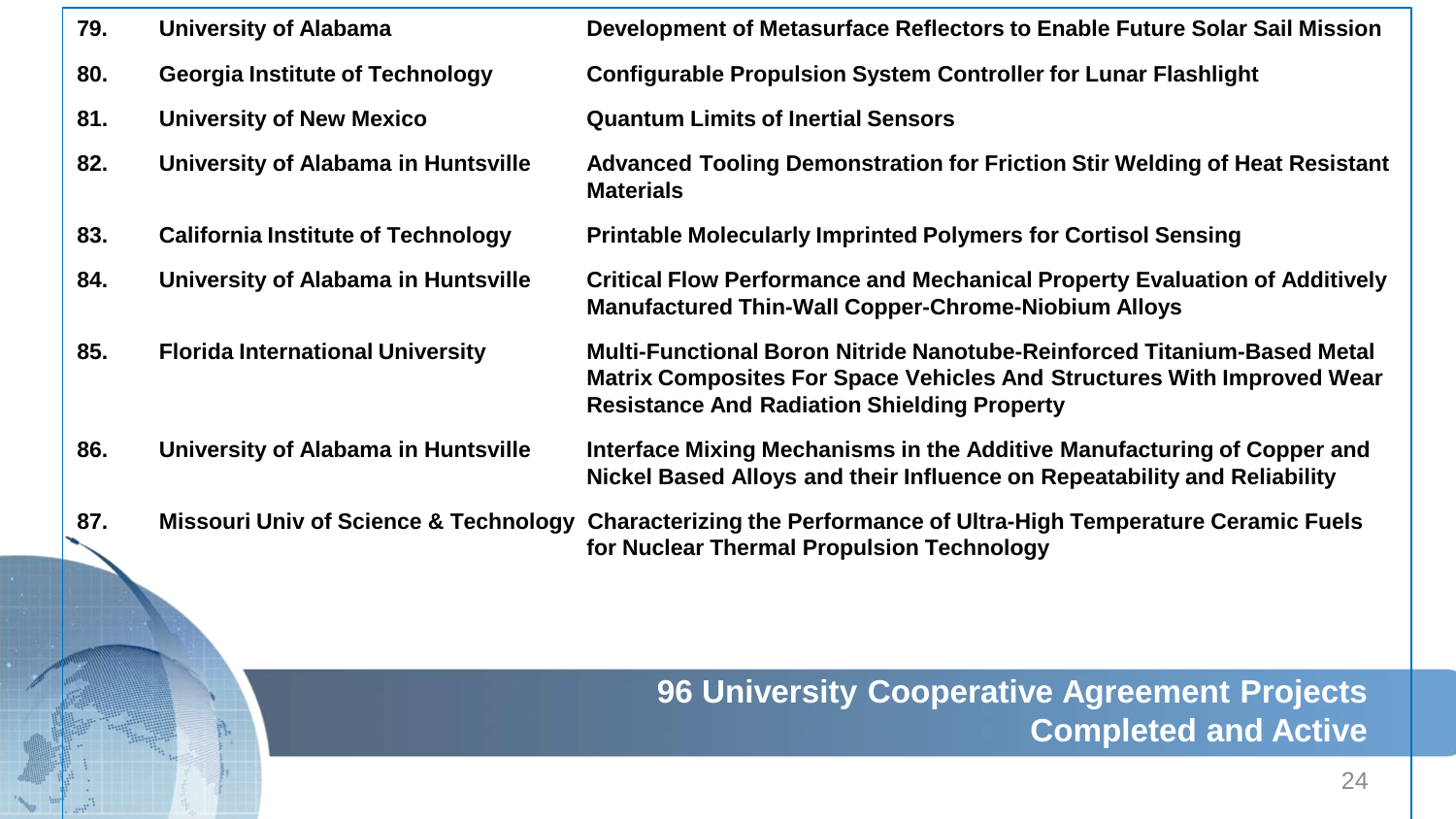| 79. | University of Alabama                     | Development of Metasurface Reflectors to Enable Future Solar Sail Mission                                                                                                                                      |
|-----|-------------------------------------------|----------------------------------------------------------------------------------------------------------------------------------------------------------------------------------------------------------------|
| 80. | <b>Georgia Institute of Technology</b>    | <b>Configurable Propulsion System Controller for Lunar Flashlight</b>                                                                                                                                          |
| 81. | <b>University of New Mexico</b>           | <b>Quantum Limits of Inertial Sensors</b>                                                                                                                                                                      |
| 82. | University of Alabama in Huntsville       | Advanced Tooling Demonstration for Friction Stir Welding of Heat Resistant<br><b>Materials</b>                                                                                                                 |
| 83. | <b>California Institute of Technology</b> | <b>Printable Molecularly Imprinted Polymers for Cortisol Sensing</b>                                                                                                                                           |
| 84. | University of Alabama in Huntsville       | <b>Critical Flow Performance and Mechanical Property Evaluation of Additively</b><br><b>Manufactured Thin-Wall Copper-Chrome-Niobium Alloys</b>                                                                |
| 85. | <b>Florida International University</b>   | Multi-Functional Boron Nitride Nanotube-Reinforced Titanium-Based Metal<br><b>Matrix Composites For Space Vehicles And Structures With Improved Wear</b><br><b>Resistance And Radiation Shielding Property</b> |
| 86. | University of Alabama in Huntsville       | Interface Mixing Mechanisms in the Additive Manufacturing of Copper and<br>Nickel Based Alloys and their Influence on Repeatability and Reliability                                                            |
| 87. |                                           | Missouri Univ of Science & Technology Characterizing the Performance of Ultra-High Temperature Ceramic Fuels                                                                                                   |

**for Nuclear Thermal Propulsion Technology**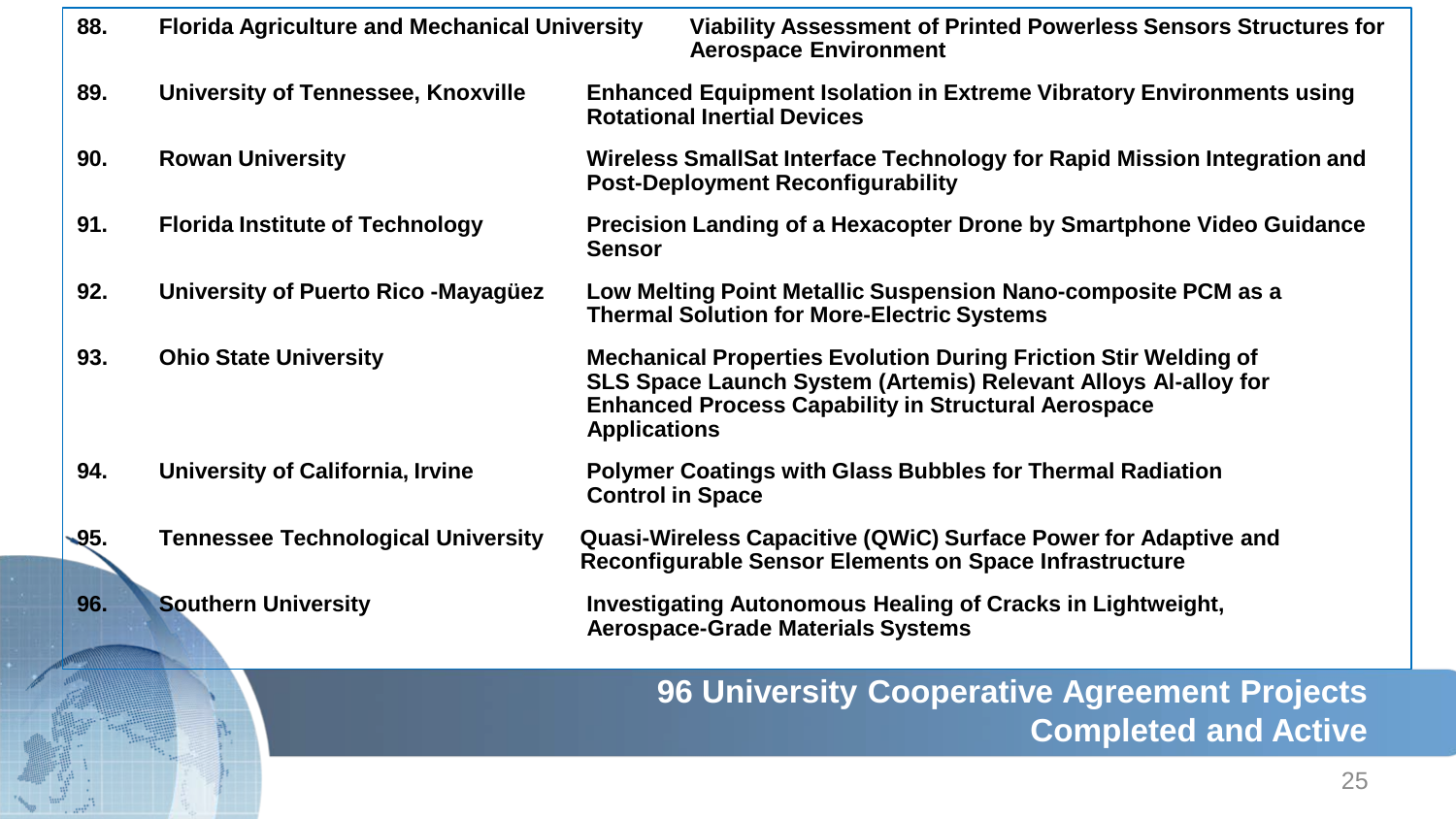| 88.  | <b>Florida Agriculture and Mechanical University</b> |                         | Viability Assessment of Printed Powerless Sensors Structures for<br><b>Aerospace Environment</b>                                                                                                       |
|------|------------------------------------------------------|-------------------------|--------------------------------------------------------------------------------------------------------------------------------------------------------------------------------------------------------|
| 89.  | <b>University of Tennessee, Knoxville</b>            |                         | <b>Enhanced Equipment Isolation in Extreme Vibratory Environments using</b><br><b>Rotational Inertial Devices</b>                                                                                      |
| 90.  | <b>Rowan University</b>                              |                         | Wireless SmallSat Interface Technology for Rapid Mission Integration and<br><b>Post-Deployment Reconfigurability</b>                                                                                   |
| 91.  | <b>Florida Institute of Technology</b>               | <b>Sensor</b>           | Precision Landing of a Hexacopter Drone by Smartphone Video Guidance                                                                                                                                   |
| 92.  | University of Puerto Rico - Mayagüez                 |                         | Low Melting Point Metallic Suspension Nano-composite PCM as a<br><b>Thermal Solution for More-Electric Systems</b>                                                                                     |
| 93.  | <b>Ohio State University</b>                         | <b>Applications</b>     | <b>Mechanical Properties Evolution During Friction Stir Welding of</b><br>SLS Space Launch System (Artemis) Relevant Alloys Al-alloy for<br><b>Enhanced Process Capability in Structural Aerospace</b> |
| 94.  | University of California, Irvine                     | <b>Control in Space</b> | <b>Polymer Coatings with Glass Bubbles for Thermal Radiation</b>                                                                                                                                       |
| -95. | <b>Tennessee Technological University</b>            |                         | Quasi-Wireless Capacitive (QWiC) Surface Power for Adaptive and<br>Reconfigurable Sensor Elements on Space Infrastructure                                                                              |
| 96.  | <b>Southern University</b>                           |                         | <b>Investigating Autonomous Healing of Cracks in Lightweight,</b><br><b>Aerospace-Grade Materials Systems</b>                                                                                          |
|      |                                                      |                         | 96 University Cooperative Agreement Projects<br><b>Completed and Active</b>                                                                                                                            |

25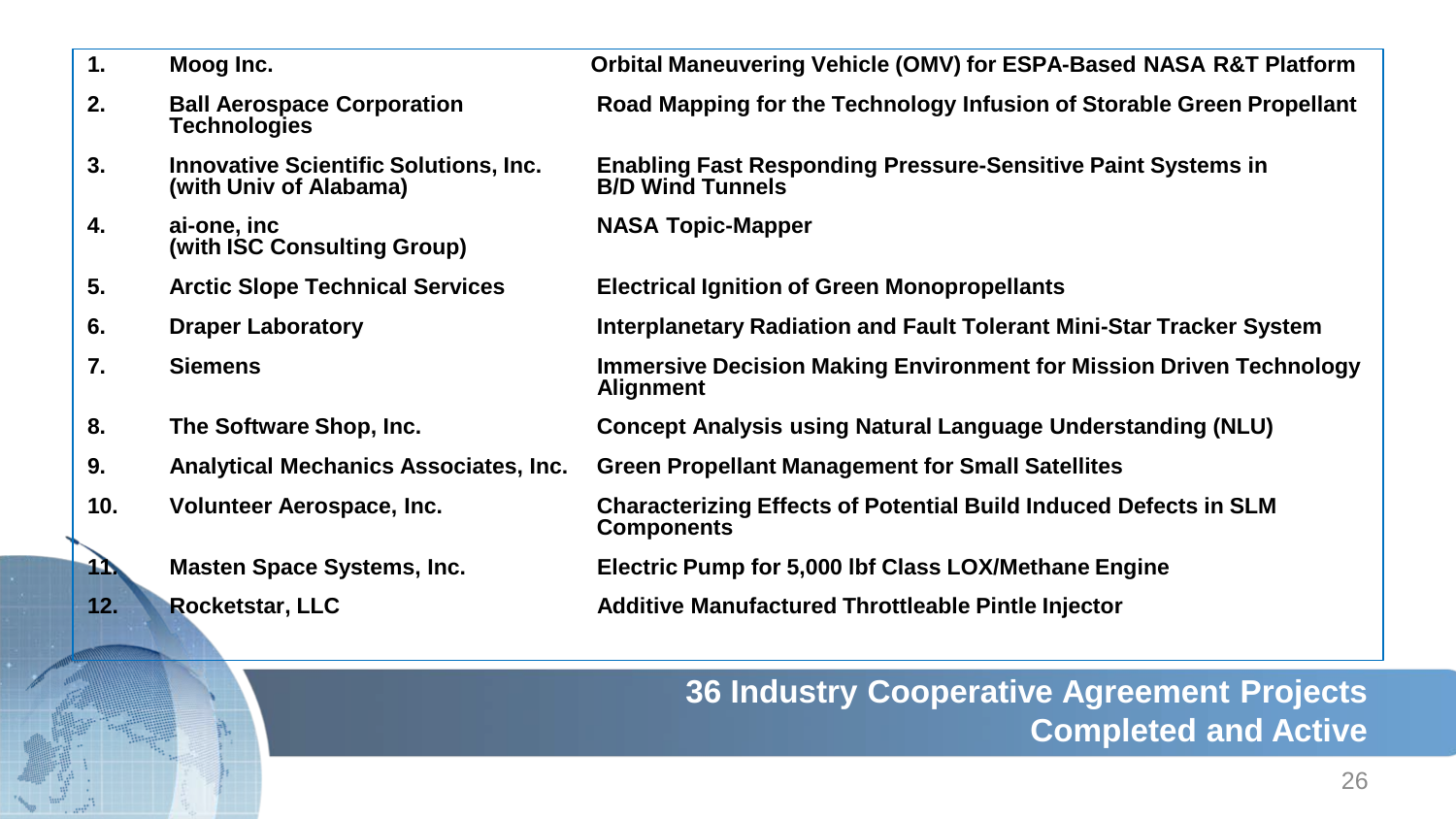| 1.               | Moog Inc.                                                              | Orbital Maneuvering Vehicle (OMV) for ESPA-Based NASA R&T Platform                             |
|------------------|------------------------------------------------------------------------|------------------------------------------------------------------------------------------------|
| 2.               | <b>Ball Aerospace Corporation</b><br><b>Technologies</b>               | Road Mapping for the Technology Infusion of Storable Green Propellant                          |
| 3.               | <b>Innovative Scientific Solutions, Inc.</b><br>(with Univ of Alabama) | <b>Enabling Fast Responding Pressure-Sensitive Paint Systems in</b><br><b>B/D Wind Tunnels</b> |
| 4.               | ai-one, inc<br>(with ISC Consulting Group)                             | <b>NASA Topic-Mapper</b>                                                                       |
| 5.               | <b>Arctic Slope Technical Services</b>                                 | <b>Electrical Ignition of Green Monopropellants</b>                                            |
| 6.               | <b>Draper Laboratory</b>                                               | Interplanetary Radiation and Fault Tolerant Mini-Star Tracker System                           |
| 7.               | <b>Siemens</b>                                                         | <b>Immersive Decision Making Environment for Mission Driven Technology</b><br><b>Alignment</b> |
| 8.               | The Software Shop, Inc.                                                | <b>Concept Analysis using Natural Language Understanding (NLU)</b>                             |
| 9.               | <b>Analytical Mechanics Associates, Inc.</b>                           | <b>Green Propellant Management for Small Satellites</b>                                        |
| 10.              | Volunteer Aerospace, Inc.                                              | <b>Characterizing Effects of Potential Build Induced Defects in SLM</b><br><b>Components</b>   |
| $\blacktriangle$ | <b>Masten Space Systems, Inc.</b>                                      | Electric Pump for 5,000 lbf Class LOX/Methane Engine                                           |
| 12.              | <b>Rocketstar, LLC</b>                                                 | Additive Manufactured Throttleable Pintle Injector                                             |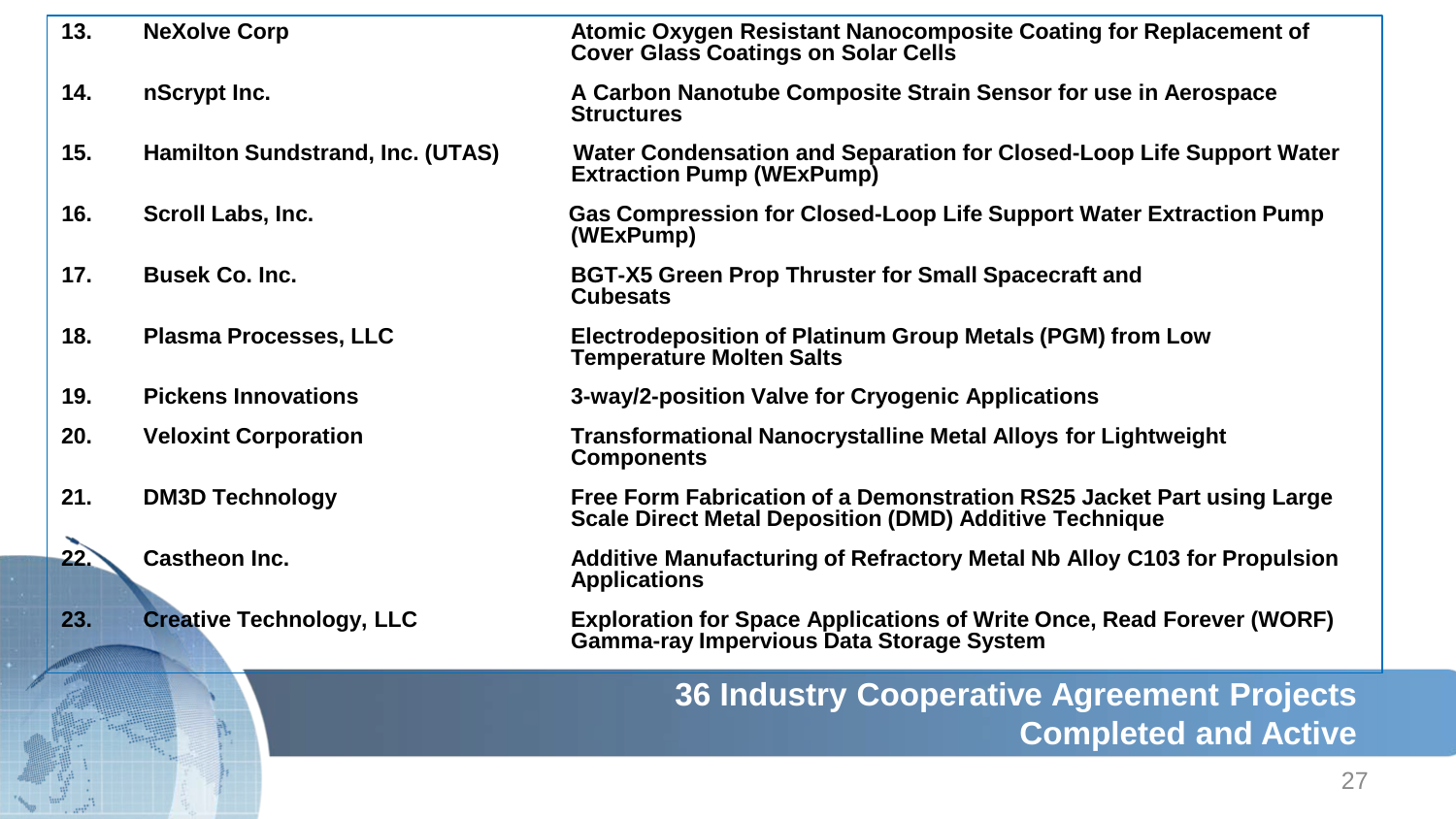| 13. | <b>NeXolve Corp</b>              | Atomic Oxygen Resistant Nanocomposite Coating for Replacement of<br><b>Cover Glass Coatings on Solar Cells</b>                         |
|-----|----------------------------------|----------------------------------------------------------------------------------------------------------------------------------------|
| 14. | nScrypt Inc.                     | A Carbon Nanotube Composite Strain Sensor for use in Aerospace<br><b>Structures</b>                                                    |
| 15. | Hamilton Sundstrand, Inc. (UTAS) | Water Condensation and Separation for Closed-Loop Life Support Water<br><b>Extraction Pump (WExPump)</b>                               |
| 16. | Scroll Labs, Inc.                | Gas Compression for Closed-Loop Life Support Water Extraction Pump<br>(WExPump)                                                        |
| 17. | <b>Busek Co. Inc.</b>            | <b>BGT-X5 Green Prop Thruster for Small Spacecraft and</b><br><b>Cubesats</b>                                                          |
| 18. | <b>Plasma Processes, LLC</b>     | Electrodeposition of Platinum Group Metals (PGM) from Low<br><b>Temperature Molten Salts</b>                                           |
| 19. | <b>Pickens Innovations</b>       | 3-way/2-position Valve for Cryogenic Applications                                                                                      |
| 20. | <b>Veloxint Corporation</b>      | <b>Transformational Nanocrystalline Metal Alloys for Lightweight</b><br><b>Components</b>                                              |
| 21. | <b>DM3D Technology</b>           | Free Form Fabrication of a Demonstration RS25 Jacket Part using Large<br><b>Scale Direct Metal Deposition (DMD) Additive Technique</b> |
| 22. | <b>Castheon Inc.</b>             | Additive Manufacturing of Refractory Metal Nb Alloy C103 for Propulsion<br><b>Applications</b>                                         |
| 23. | <b>Creative Technology, LLC</b>  | <b>Exploration for Space Applications of Write Once, Read Forever (WORF)</b><br><b>Gamma-ray Impervious Data Storage System</b>        |
|     |                                  | <b>36 Industry Cooperative Agreement Projects</b>                                                                                      |

**Completed and Active**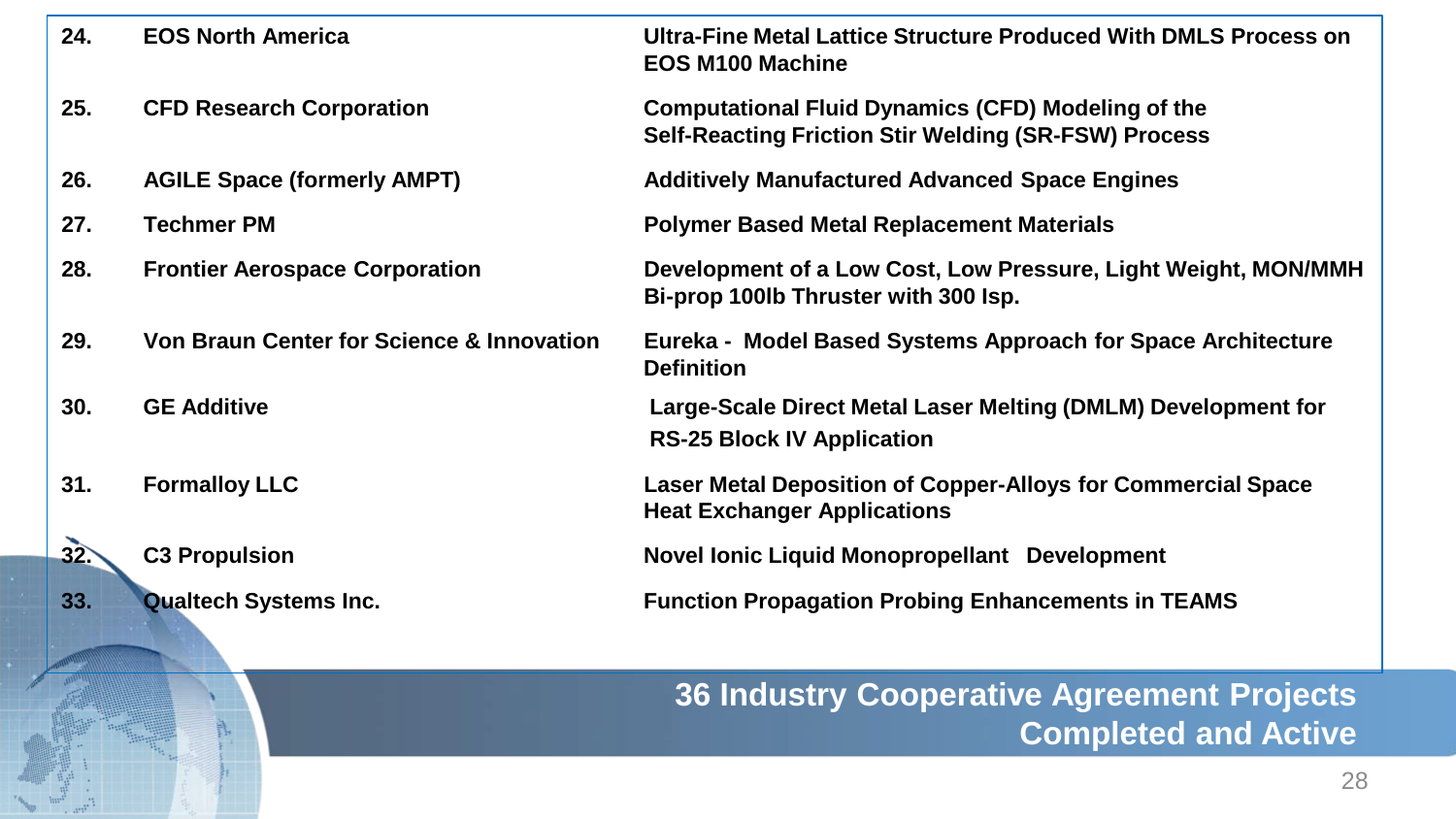| 24.          | <b>EOS North America</b>                             | Ultra-Fine Metal Lattice Structure Produced With DMLS Process on<br><b>EOS M100 Machine</b>                              |
|--------------|------------------------------------------------------|--------------------------------------------------------------------------------------------------------------------------|
| 25.          | <b>CFD Research Corporation</b>                      | <b>Computational Fluid Dynamics (CFD) Modeling of the</b><br><b>Self-Reacting Friction Stir Welding (SR-FSW) Process</b> |
| 26.          | <b>AGILE Space (formerly AMPT)</b>                   | <b>Additively Manufactured Advanced Space Engines</b>                                                                    |
| 27.          | <b>Techmer PM</b>                                    | <b>Polymer Based Metal Replacement Materials</b>                                                                         |
| 28.          | <b>Frontier Aerospace Corporation</b>                | Development of a Low Cost, Low Pressure, Light Weight, MON/MMH<br>Bi-prop 100lb Thruster with 300 lsp.                   |
| 29.          | <b>Von Braun Center for Science &amp; Innovation</b> | Eureka - Model Based Systems Approach for Space Architecture<br><b>Definition</b>                                        |
| 30.          | <b>GE Additive</b>                                   | Large-Scale Direct Metal Laser Melting (DMLM) Development for<br><b>RS-25 Block IV Application</b>                       |
| 31.          | <b>Formalloy LLC</b>                                 | Laser Metal Deposition of Copper-Alloys for Commercial Space<br><b>Heat Exchanger Applications</b>                       |
| $32^{\circ}$ | <b>C3 Propulsion</b>                                 | Novel Ionic Liquid Monopropellant Development                                                                            |
| 33.          | <b>Qualtech Systems Inc.</b>                         | <b>Function Propagation Probing Enhancements in TEAMS</b>                                                                |